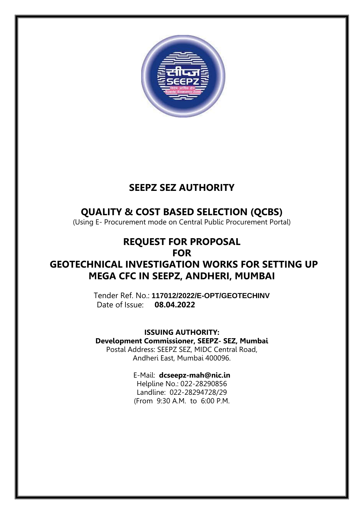

## **SEEPZ SEZ AUTHORITY**

## **QUALITY & COST BASED SELECTION (QCBS)**

(Using E- Procurement mode on Central Public Procurement Portal)

## **REQUEST FOR PROPOSAL FOR**

## **GEOTECHNICAL INVESTIGATION WORKS FOR SETTING UP MEGA CFC IN SEEPZ, ANDHERI, MUMBAI**

Tender Ref. No.: **117012/2022/E-OPT/GEOTECHINV** Date of Issue: **08.04.2022**

**ISSUING AUTHORITY: Development Commissioner, SEEPZ- SEZ, Mumbai** Postal Address: SEEPZ SEZ, MIDC Central Road, Andheri East, Mumbai 400096.

## E-Mail: **[dcseepz-mah@nic.in](mailto:dcseepz-mah@nic.in)**

Helpline No.: 022-28290856 Landline: 022-28294728/29 (From 9:30 A.M. to 6:00 P.M.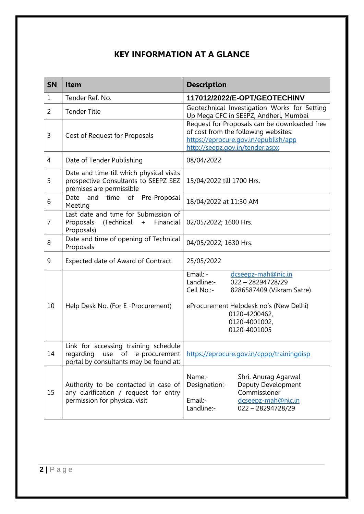## **KEY INFORMATION AT A GLANCE**

| <b>SN</b>      | <b>Item</b>                                                                                                            | <b>Description</b>                                                                                                                                                                                         |  |
|----------------|------------------------------------------------------------------------------------------------------------------------|------------------------------------------------------------------------------------------------------------------------------------------------------------------------------------------------------------|--|
| $\mathbf{1}$   | Tender Ref. No.                                                                                                        | 117012/2022/E-OPT/GEOTECHINV                                                                                                                                                                               |  |
| $\overline{2}$ | <b>Tender Title</b>                                                                                                    | Geotechnical Investigation Works for Setting<br>Up Mega CFC in SEEPZ, Andheri, Mumbai                                                                                                                      |  |
| 3              | Cost of Request for Proposals                                                                                          | Request for Proposals can be downloaded free<br>of cost from the following websites:<br>https://eprocure.gov.in/epublish/app<br>http://seepz.gov.in/tender.aspx                                            |  |
| 4              | Date of Tender Publishing                                                                                              | 08/04/2022                                                                                                                                                                                                 |  |
| 5              | Date and time till which physical visits<br>prospective Consultants to SEEPZ SEZ<br>premises are permissible           | 15/04/2022 till 1700 Hrs.                                                                                                                                                                                  |  |
| 6              | of<br>time<br>Pre-Proposal<br>Date<br>and<br>Meeting                                                                   | 18/04/2022 at 11:30 AM                                                                                                                                                                                     |  |
| $\overline{7}$ | Last date and time for Submission of<br>(Technical<br>Financial<br>Proposals<br>$+$<br>Proposals)                      | 02/05/2022; 1600 Hrs.                                                                                                                                                                                      |  |
| 8              | Date and time of opening of Technical<br>Proposals                                                                     | 04/05/2022; 1630 Hrs.                                                                                                                                                                                      |  |
| 9              | Expected date of Award of Contract                                                                                     | 25/05/2022                                                                                                                                                                                                 |  |
| 10             | Help Desk No. (For E -Procurement)                                                                                     | Email: -<br>dcseepz-mah@nic.in<br>Landline:-<br>$022 - 28294728/29$<br>Cell No.:-<br>8286587409 (Vikram Satre)<br>eProcurement Helpdesk no's (New Delhi)<br>0120-4200462,<br>0120-4001002,<br>0120-4001005 |  |
| 14             | Link for accessing training schedule<br>regarding<br>use<br>of e-procurement<br>portal by consultants may be found at: | https://eprocure.gov.in/cppp/trainingdisp                                                                                                                                                                  |  |
| 15             | Authority to be contacted in case of<br>any clarification / request for entry<br>permission for physical visit         | Name:-<br>Shri. Anurag Agarwal<br>Deputy Development<br>Designation:-<br>Commissioner<br>dcseepz-mah@nic.in<br>Email:-<br>Landline:-<br>$022 - 28294728/29$                                                |  |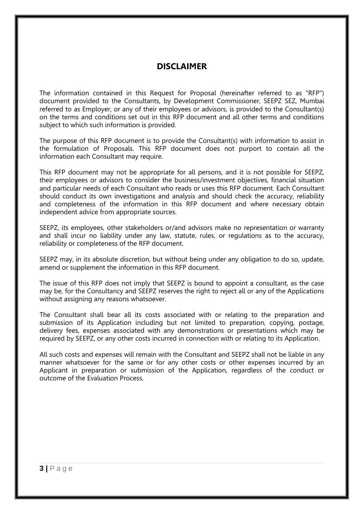### **DISCLAIMER**

The information contained in this Request for Proposal (hereinafter referred to as "RFP") document provided to the Consultants, by Development Commissioner, SEEPZ SEZ, Mumbai referred to as Employer, or any of their employees or advisors, is provided to the Consultant(s) on the terms and conditions set out in this RFP document and all other terms and conditions subject to which such information is provided.

The purpose of this RFP document is to provide the Consultant(s) with information to assist in the formulation of Proposals. This RFP document does not purport to contain all the information each Consultant may require.

This RFP document may not be appropriate for all persons, and it is not possible for SEEPZ, their employees or advisors to consider the business/investment objectives, financial situation and particular needs of each Consultant who reads or uses this RFP document. Each Consultant should conduct its own investigations and analysis and should check the accuracy, reliability and completeness of the information in this RFP document and where necessary obtain independent advice from appropriate sources.

SEEPZ, its employees, other stakeholders or/and advisors make no representation or warranty and shall incur no liability under any law, statute, rules, or regulations as to the accuracy, reliability or completeness of the RFP document.

SEEPZ may, in its absolute discretion, but without being under any obligation to do so, update, amend or supplement the information in this RFP document.

The issue of this RFP does not imply that SEEPZ is bound to appoint a consultant, as the case may be, for the Consultancy and SEEPZ reserves the right to reject all or any of the Applications without assigning any reasons whatsoever.

The Consultant shall bear all its costs associated with or relating to the preparation and submission of its Application including but not limited to preparation, copying, postage, delivery fees, expenses associated with any demonstrations or presentations which may be required by SEEPZ, or any other costs incurred in connection with or relating to its Application.

All such costs and expenses will remain with the Consultant and SEEPZ shall not be liable in any manner whatsoever for the same or for any other costs or other expenses incurred by an Applicant in preparation or submission of the Application, regardless of the conduct or outcome of the Evaluation Process.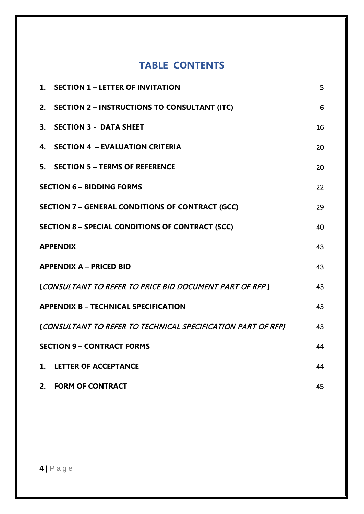## **TABLE CONTENTS**

|    | 1. SECTION 1 - LETTER OF INVITATION                          | 5  |
|----|--------------------------------------------------------------|----|
| 2. | <b>SECTION 2 - INSTRUCTIONS TO CONSULTANT (ITC)</b>          | 6  |
| 3. | <b>SECTION 3 - DATA SHEET</b>                                | 16 |
| 4. | <b>SECTION 4 - EVALUATION CRITERIA</b>                       | 20 |
|    | 5. SECTION 5 - TERMS OF REFERENCE                            | 20 |
|    | <b>SECTION 6 - BIDDING FORMS</b>                             | 22 |
|    | <b>SECTION 7 - GENERAL CONDITIONS OF CONTRACT (GCC)</b>      | 29 |
|    | <b>SECTION 8 - SPECIAL CONDITIONS OF CONTRACT (SCC)</b>      | 40 |
|    | <b>APPENDIX</b>                                              | 43 |
|    | <b>APPENDIX A - PRICED BID</b>                               | 43 |
|    | {CONSULTANT TO REFER TO PRICE BID DOCUMENT PART OF RFP}      | 43 |
|    | <b>APPENDIX B - TECHNICAL SPECIFICATION</b>                  | 43 |
|    | {CONSULTANT TO REFER TO TECHNICAL SPECIFICATION PART OF RFP} | 43 |
|    | <b>SECTION 9 - CONTRACT FORMS</b>                            | 44 |
| 1. | <b>LETTER OF ACCEPTANCE</b>                                  | 44 |
|    | 2. FORM OF CONTRACT                                          | 45 |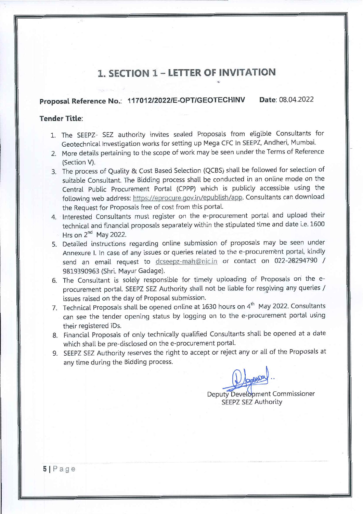## **1. SECTION 1 - LETTER OF INVITATION**

#### Proposal Reference No.: 117012/2022/E-OPT/GEOTECHINV Date: 08.04.2022

### **Tender Title:**

- 1. The SEEPZ- SEZ authority invites sealed Proposals from eligible Consultants for Geotechnical Investigation works for setting up Mega CFC In SEEPZ, Andheri, Mumbai.
- 2. More details pertaining to the scope of work may be seen under the Terms of Reference (Section V).
- 3. The process of Quality & Cost Based Selection (QCBS) shall be followed for selection of suitable Consultant. The Bidding process shall be conducted in an online mode on the Central Public Procurement Portal (CPPP) which is publicly accessible using the following web address: https://eprocure.gov.in/epublish/app. Consultants can download the Request for Proposals free of cost from this portal.
- 4. Interested Consultants must register on the e-procurement portal and upload their technical and financial proposals separately within the stipulated time and date i.e. 1600 Hrs on  $2^{nd}$  May 2022.
- 5. Detailed instructions regarding online submission of proposals may be seen under Annexure I. In case of any issues or queries related to the e-procurement portal, kindly send an email request to dcseepz-mah@nic.in or contact on 022-28294790 / 9819390963 (Shri, Mayur Gadage).
- 6. The Consultant is solely responsible for timely uploading of Proposals on the eprocurement portal. SEEPZ SEZ Authority shall not be liable for resolving any queries / issues raised on the day of Proposal submission.
- 7. Technical Proposals shall be opened online at 1630 hours on 4<sup>th</sup> May 2022. Consultants can see the tender opening status by logging on to the e-procurement portal using their registered IDs.
- 8. Financial Proposals of only technically qualified Consultants shall be opened at a date which shall be pre-disclosed on the e-procurement portal.
- 9. SEEPZ SEZ Authority reserves the right to accept or reject any or all of the Proposals at any time during the Bidding process.

Deputy Development Commissioner **SEEPZ SEZ Authority**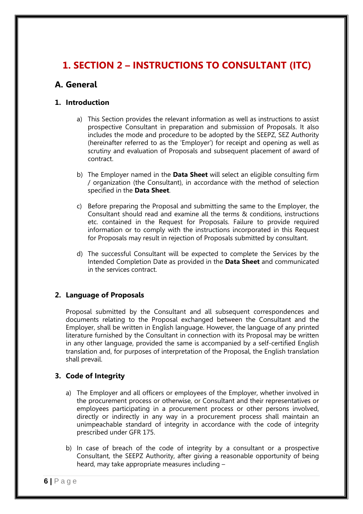## **1. SECTION 2 – INSTRUCTIONS TO CONSULTANT (ITC)**

## **A. General**

### **1. Introduction**

- a) This Section provides the relevant information as well as instructions to assist prospective Consultant in preparation and submission of Proposals. It also includes the mode and procedure to be adopted by the SEEPZ, SEZ Authority (hereinafter referred to as the 'Employer') for receipt and opening as well as scrutiny and evaluation of Proposals and subsequent placement of award of contract.
- b) The Employer named in the **Data Sheet** will select an eligible consulting firm / organization (the Consultant), in accordance with the method of selection specified in the **Data Sheet**.
- c) Before preparing the Proposal and submitting the same to the Employer, the Consultant should read and examine all the terms & conditions, instructions etc. contained in the Request for Proposals. Failure to provide required information or to comply with the instructions incorporated in this Request for Proposals may result in rejection of Proposals submitted by consultant.
- d) The successful Consultant will be expected to complete the Services by the Intended Completion Date as provided in the **Data Sheet** and communicated in the services contract.

### **2. Language of Proposals**

Proposal submitted by the Consultant and all subsequent correspondences and documents relating to the Proposal exchanged between the Consultant and the Employer, shall be written in English language. However, the language of any printed literature furnished by the Consultant in connection with its Proposal may be written in any other language, provided the same is accompanied by a self-certified English translation and, for purposes of interpretation of the Proposal, the English translation shall prevail.

### **3. Code of Integrity**

- a) The Employer and all officers or employees of the Employer, whether involved in the procurement process or otherwise, or Consultant and their representatives or employees participating in a procurement process or other persons involved, directly or indirectly in any way in a procurement process shall maintain an unimpeachable standard of integrity in accordance with the code of integrity prescribed under GFR 175.
- b) In case of breach of the code of integrity by a consultant or a prospective Consultant, the SEEPZ Authority, after giving a reasonable opportunity of being heard, may take appropriate measures including –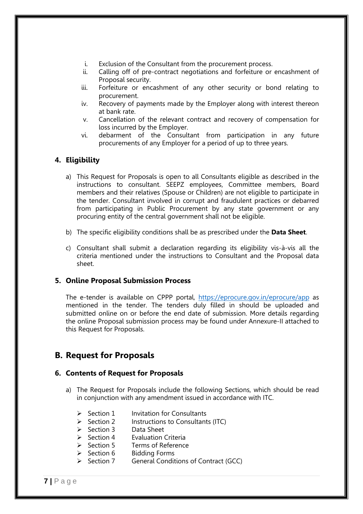- i. Exclusion of the Consultant from the procurement process.
- ii. Calling off of pre-contract negotiations and forfeiture or encashment of Proposal security.
- iii. Forfeiture or encashment of any other security or bond relating to procurement.
- iv. Recovery of payments made by the Employer along with interest thereon at bank rate.
- v. Cancellation of the relevant contract and recovery of compensation for loss incurred by the Employer.
- vi. debarment of the Consultant from participation in any future procurements of any Employer for a period of up to three years.

### **4. Eligibility**

- a) This Request for Proposals is open to all Consultants eligible as described in the instructions to consultant. SEEPZ employees, Committee members, Board members and their relatives (Spouse or Children) are not eligible to participate in the tender. Consultant involved in corrupt and fraudulent practices or debarred from participating in Public Procurement by any state government or any procuring entity of the central government shall not be eligible.
- b) The specific eligibility conditions shall be as prescribed under the **Data Sheet**.
- c) Consultant shall submit a declaration regarding its eligibility vis-à-vis all the criteria mentioned under the instructions to Consultant and the Proposal data sheet.

### **5. Online Proposal Submission Process**

The e-tender is available on CPPP portal,<https://eprocure.gov.in/eprocure/app>as mentioned in the tender. The tenders duly filled in should be uploaded and submitted online on or before the end date of submission. More details regarding the online Proposal submission process may be found under Annexure-II attached to this Request for Proposals.

### **B. Request for Proposals**

### **6. Contents of Request for Proposals**

- a) The Request for Proposals include the following Sections, which should be read in conjunction with any amendment issued in accordance with ITC.
	- $\triangleright$  Section 1 Invitation for Consultants
	- $\triangleright$  Section 2 Instructions to Consultants (ITC)
	- $\triangleright$  Section 3 Data Sheet
	- $\triangleright$  Section 4 Evaluation Criteria
	- ▶ Section 5 Terms of Reference
	- $\triangleright$  Section 6 Bidding Forms
	- $\triangleright$  Section 7 General Conditions of Contract (GCC)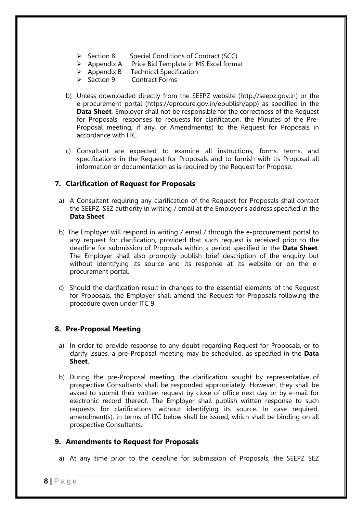- $\triangleright$  Section 8 Special Conditions of Contract (SCC)
- $\triangleright$  Appendix A Price Bid Template in MS Excel format<br>  $\triangleright$  Appendix B Technical Specification
- **Technical Specification**
- $\triangleright$  Section 9 Contract Forms
- b) Unless downloaded directly from the SEEPZ website (http.//seepz.gov.in) or the e-procurement portal (https://eprocure.gov.in/epublish/app) as specified in the **Data Sheet**, Employer shall not be responsible for the correctness of the Request for Proposals, responses to requests for clarification, the Minutes of the Pre-Proposal meeting, if any, or Amendment(s) to the Request for Proposals in accordance with ITC.
- c) Consultant are expected to examine all instructions, forms, terms, and specifications in the Request for Proposals and to furnish with its Proposal all information or documentation as is required by the Request for Propose.

### **7. Clarification of Request for Proposals**

- a) A Consultant requiring any clarification of the Request for Proposals shall contact the SEEPZ, SEZ authority in writing / email at the Employer's address specified in the **Data Sheet**.
- b) The Employer will respond in writing / email / through the e-procurement portal to any request for clarification, provided that such request is received prior to the deadline for submission of Proposals within a period specified in the **Data Sheet**. The Employer shall also promptly publish brief description of the enquiry but without identifying its source and its response at its website or on the eprocurement portal.
- c) Should the clarification result in changes to the essential elements of the Request for Proposals, the Employer shall amend the Request for Proposals following the procedure given under ITC 9.

### **8. Pre-Proposal Meeting**

- a) In order to provide response to any doubt regarding Request for Proposals, or to clarify issues, a pre-Proposal meeting may be scheduled, as specified in the **Data Sheet**.
- b) During the pre-Proposal meeting, the clarification sought by representative of prospective Consultants shall be responded appropriately. However, they shall be asked to submit their written request by close of office next day or by e-mail for electronic record thereof. The Employer shall publish written response to such requests for clarifications, without identifying its source. In case required, amendment(s), in terms of ITC below shall be issued, which shall be binding on all prospective Consultants.

#### **9. Amendments to Request for Proposals**

a) At any time prior to the deadline for submission of Proposals, the SEEPZ SEZ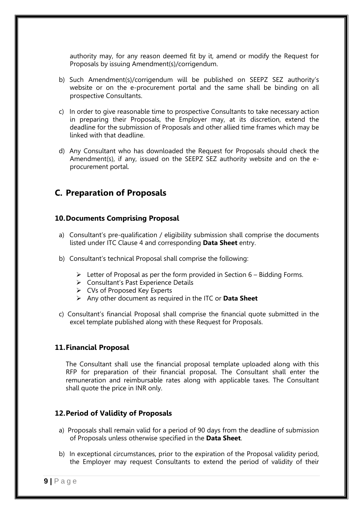authority may, for any reason deemed fit by it, amend or modify the Request for Proposals by issuing Amendment(s)/corrigendum.

- b) Such Amendment(s)/corrigendum will be published on SEEPZ SEZ authority's website or on the e-procurement portal and the same shall be binding on all prospective Consultants.
- c) In order to give reasonable time to prospective Consultants to take necessary action in preparing their Proposals, the Employer may, at its discretion, extend the deadline for the submission of Proposals and other allied time frames which may be linked with that deadline.
- d) Any Consultant who has downloaded the Request for Proposals should check the Amendment(s), if any, issued on the SEEPZ SEZ authority website and on the eprocurement portal.

### **C. Preparation of Proposals**

### **10.Documents Comprising Proposal**

- a) Consultant's pre-qualification / eligibility submission shall comprise the documents listed under ITC Clause 4 and corresponding **Data Sheet** entry.
- b) Consultant's technical Proposal shall comprise the following:
	- $\triangleright$  Letter of Proposal as per the form provided in Section 6 Bidding Forms.
	- ▶ Consultant's Past Experience Details
	- CVs of Proposed Key Experts
	- Any other document as required in the ITC or **Data Sheet**
- c) Consultant's financial Proposal shall comprise the financial quote submitted in the excel template published along with these Request for Proposals.

### **11.Financial Proposal**

The Consultant shall use the financial proposal template uploaded along with this RFP for preparation of their financial proposal. The Consultant shall enter the remuneration and reimbursable rates along with applicable taxes. The Consultant shall quote the price in INR only.

### **12.Period of Validity of Proposals**

- a) Proposals shall remain valid for a period of 90 days from the deadline of submission of Proposals unless otherwise specified in the **Data Sheet**.
- b) In exceptional circumstances, prior to the expiration of the Proposal validity period, the Employer may request Consultants to extend the period of validity of their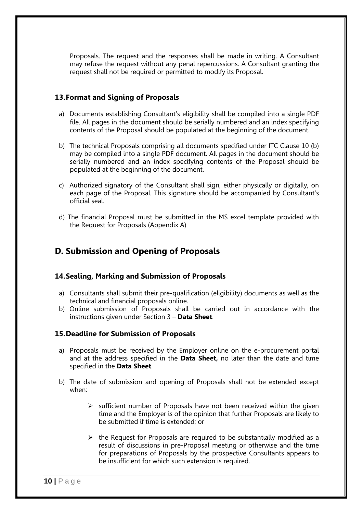Proposals. The request and the responses shall be made in writing. A Consultant may refuse the request without any penal repercussions. A Consultant granting the request shall not be required or permitted to modify its Proposal.

### **13.Format and Signing of Proposals**

- a) Documents establishing Consultant's eligibility shall be compiled into a single PDF file. All pages in the document should be serially numbered and an index specifying contents of the Proposal should be populated at the beginning of the document.
- b) The technical Proposals comprising all documents specified under ITC Clause 10 (b) may be compiled into a single PDF document. All pages in the document should be serially numbered and an index specifying contents of the Proposal should be populated at the beginning of the document.
- c) Authorized signatory of the Consultant shall sign, either physically or digitally, on each page of the Proposal. This signature should be accompanied by Consultant's official seal.
- d) The financial Proposal must be submitted in the MS excel template provided with the Request for Proposals (Appendix A)

### **D. Submission and Opening of Proposals**

#### **14.Sealing, Marking and Submission of Proposals**

- a) Consultants shall submit their pre-qualification (eligibility) documents as well as the technical and financial proposals online.
- b) Online submission of Proposals shall be carried out in accordance with the instructions given under Section 3 – **Data Sheet**.

#### **15.Deadline for Submission of Proposals**

- a) Proposals must be received by the Employer online on the e-procurement portal and at the address specified in the **Data Sheet,** no later than the date and time specified in the **Data Sheet**.
- b) The date of submission and opening of Proposals shall not be extended except when:
	- $\triangleright$  sufficient number of Proposals have not been received within the given time and the Employer is of the opinion that further Proposals are likely to be submitted if time is extended; or
	- $\triangleright$  the Request for Proposals are required to be substantially modified as a result of discussions in pre-Proposal meeting or otherwise and the time for preparations of Proposals by the prospective Consultants appears to be insufficient for which such extension is required.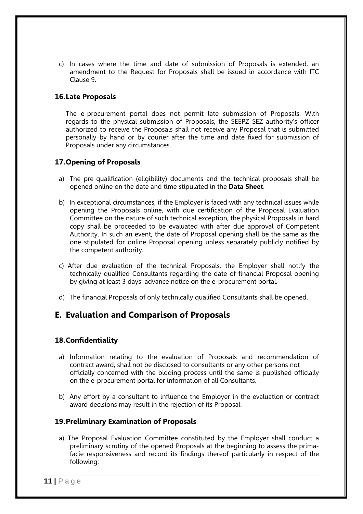c) In cases where the time and date of submission of Proposals is extended, an amendment to the Request for Proposals shall be issued in accordance with ITC Clause 9.

#### **16.Late Proposals**

The e-procurement portal does not permit late submission of Proposals. With regards to the physical submission of Proposals, the SEEPZ SEZ authority's officer authorized to receive the Proposals shall not receive any Proposal that is submitted personally by hand or by courier after the time and date fixed for submission of Proposals under any circumstances.

### **17.Opening of Proposals**

- a) The pre-qualification (eligibility) documents and the technical proposals shall be opened online on the date and time stipulated in the **Data Sheet**.
- b) In exceptional circumstances, if the Employer is faced with any technical issues while opening the Proposals online, with due certification of the Proposal Evaluation Committee on the nature of such technical exception, the physical Proposals in hard copy shall be proceeded to be evaluated with after due approval of Competent Authority. In such an event, the date of Proposal opening shall be the same as the one stipulated for online Proposal opening unless separately publicly notified by the competent authority.
- c) After due evaluation of the technical Proposals, the Employer shall notify the technically qualified Consultants regarding the date of financial Proposal opening by giving at least 3 days' advance notice on the e-procurement portal.
- d) The financial Proposals of only technically qualified Consultants shall be opened.

### **E. Evaluation and Comparison of Proposals**

### **18.Confidentiality**

- a) Information relating to the evaluation of Proposals and recommendation of contract award, shall not be disclosed to consultants or any other persons not officially concerned with the bidding process until the same is published officially on the e-procurement portal for information of all Consultants.
- b) Any effort by a consultant to influence the Employer in the evaluation or contract award decisions may result in the rejection of its Proposal.

#### **19.Preliminary Examination of Proposals**

a) The Proposal Evaluation Committee constituted by the Employer shall conduct a preliminary scrutiny of the opened Proposals at the beginning to assess the primafacie responsiveness and record its findings thereof particularly in respect of the following: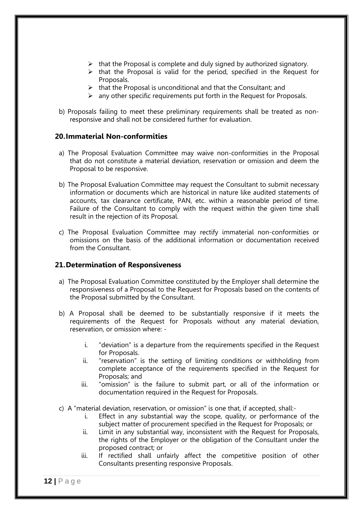- $\triangleright$  that the Proposal is complete and duly signed by authorized signatory.
- $\triangleright$  that the Proposal is valid for the period, specified in the Request for Proposals.
- $\triangleright$  that the Proposal is unconditional and that the Consultant; and
- $\triangleright$  any other specific requirements put forth in the Request for Proposals.
- b) Proposals failing to meet these preliminary requirements shall be treated as nonresponsive and shall not be considered further for evaluation.

#### **20.Immaterial Non-conformities**

- a) The Proposal Evaluation Committee may waive non-conformities in the Proposal that do not constitute a material deviation, reservation or omission and deem the Proposal to be responsive.
- b) The Proposal Evaluation Committee may request the Consultant to submit necessary information or documents which are historical in nature like audited statements of accounts, tax clearance certificate, PAN, etc. within a reasonable period of time. Failure of the Consultant to comply with the request within the given time shall result in the rejection of its Proposal.
- c) The Proposal Evaluation Committee may rectify immaterial non-conformities or omissions on the basis of the additional information or documentation received from the Consultant.

### **21.Determination of Responsiveness**

- a) The Proposal Evaluation Committee constituted by the Employer shall determine the responsiveness of a Proposal to the Request for Proposals based on the contents of the Proposal submitted by the Consultant.
- b) A Proposal shall be deemed to be substantially responsive if it meets the requirements of the Request for Proposals without any material deviation, reservation, or omission where:
	- i. "deviation" is a departure from the requirements specified in the Request for Proposals.
	- ii. "reservation" is the setting of limiting conditions or withholding from complete acceptance of the requirements specified in the Request for Proposals; and
	- iii. "omission" is the failure to submit part, or all of the information or documentation required in the Request for Proposals.
- c) A "material deviation, reservation, or omission" is one that, if accepted, shall:
	- i. Effect in any substantial way the scope, quality, or performance of the subject matter of procurement specified in the Request for Proposals; or
	- ii. Limit in any substantial way, inconsistent with the Request for Proposals, the rights of the Employer or the obligation of the Consultant under the proposed contract; or
	- iii. If rectified shall unfairly affect the competitive position of other Consultants presenting responsive Proposals.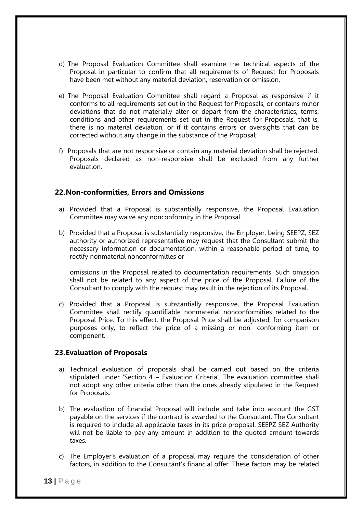- d) The Proposal Evaluation Committee shall examine the technical aspects of the Proposal in particular to confirm that all requirements of Request for Proposals have been met without any material deviation, reservation or omission.
- e) The Proposal Evaluation Committee shall regard a Proposal as responsive if it conforms to all requirements set out in the Request for Proposals, or contains minor deviations that do not materially alter or depart from the characteristics, terms, conditions and other requirements set out in the Request for Proposals, that is, there is no material deviation, or if it contains errors or oversights that can be corrected without any change in the substance of the Proposal;
- f) Proposals that are not responsive or contain any material deviation shall be rejected. Proposals declared as non-responsive shall be excluded from any further evaluation.

### **22.Non-conformities, Errors and Omissions**

- a) Provided that a Proposal is substantially responsive, the Proposal Evaluation Committee may waive any nonconformity in the Proposal.
- b) Provided that a Proposal is substantially responsive, the Employer, being SEEPZ, SEZ authority or authorized representative may request that the Consultant submit the necessary information or documentation, within a reasonable period of time, to rectify nonmaterial nonconformities or

omissions in the Proposal related to documentation requirements. Such omission shall not be related to any aspect of the price of the Proposal. Failure of the Consultant to comply with the request may result in the rejection of its Proposal.

c) Provided that a Proposal is substantially responsive, the Proposal Evaluation Committee shall rectify quantifiable nonmaterial nonconformities related to the Proposal Price. To this effect, the Proposal Price shall be adjusted, for comparison purposes only, to reflect the price of a missing or non- conforming item or component.

#### **23.Evaluation of Proposals**

- a) Technical evaluation of proposals shall be carried out based on the criteria stipulated under 'Section 4 – Evaluation Criteria'. The evaluation committee shall not adopt any other criteria other than the ones already stipulated in the Request for Proposals.
- b) The evaluation of financial Proposal will include and take into account the GST payable on the services if the contract is awarded to the Consultant. The Consultant is required to include all applicable taxes in its price proposal. SEEPZ SEZ Authority will not be liable to pay any amount in addition to the quoted amount towards taxes.
- c) The Employer's evaluation of a proposal may require the consideration of other factors, in addition to the Consultant's financial offer. These factors may be related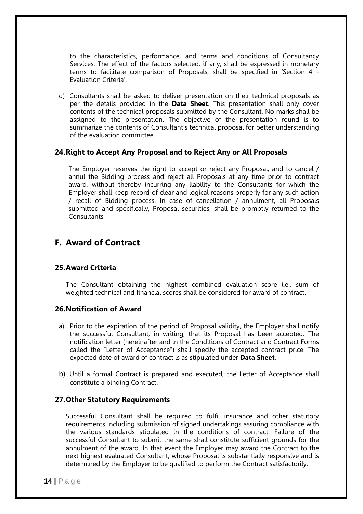to the characteristics, performance, and terms and conditions of Consultancy Services. The effect of the factors selected, if any, shall be expressed in monetary terms to facilitate comparison of Proposals, shall be specified in 'Section 4 - Evaluation Criteria'.

d) Consultants shall be asked to deliver presentation on their technical proposals as per the details provided in the **Data Sheet**. This presentation shall only cover contents of the technical proposals submitted by the Consultant. No marks shall be assigned to the presentation. The objective of the presentation round is to summarize the contents of Consultant's technical proposal for better understanding of the evaluation committee.

#### **24.Right to Accept Any Proposal and to Reject Any or All Proposals**

The Employer reserves the right to accept or reject any Proposal, and to cancel / annul the Bidding process and reject all Proposals at any time prior to contract award, without thereby incurring any liability to the Consultants for which the Employer shall keep record of clear and logical reasons properly for any such action / recall of Bidding process. In case of cancellation / annulment, all Proposals submitted and specifically, Proposal securities, shall be promptly returned to the **Consultants** 

### **F. Award of Contract**

### **25.Award Criteria**

The Consultant obtaining the highest combined evaluation score i.e., sum of weighted technical and financial scores shall be considered for award of contract.

#### **26.Notification of Award**

- a) Prior to the expiration of the period of Proposal validity, the Employer shall notify the successful Consultant, in writing, that its Proposal has been accepted. The notification letter (hereinafter and in the Conditions of Contract and Contract Forms called the "Letter of Acceptance") shall specify the accepted contract price. The expected date of award of contract is as stipulated under **Data Sheet**.
- b) Until a formal Contract is prepared and executed, the Letter of Acceptance shall constitute a binding Contract.

#### **27.Other Statutory Requirements**

Successful Consultant shall be required to fulfil insurance and other statutory requirements including submission of signed undertakings assuring compliance with the various standards stipulated in the conditions of contract. Failure of the successful Consultant to submit the same shall constitute sufficient grounds for the annulment of the award. In that event the Employer may award the Contract to the next highest evaluated Consultant, whose Proposal is substantially responsive and is determined by the Employer to be qualified to perform the Contract satisfactorily.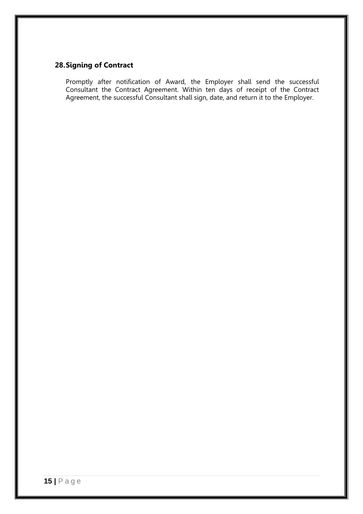## **28.Signing of Contract**

Promptly after notification of Award, the Employer shall send the successful Consultant the Contract Agreement. Within ten days of receipt of the Contract Agreement, the successful Consultant shall sign, date, and return it to the Employer.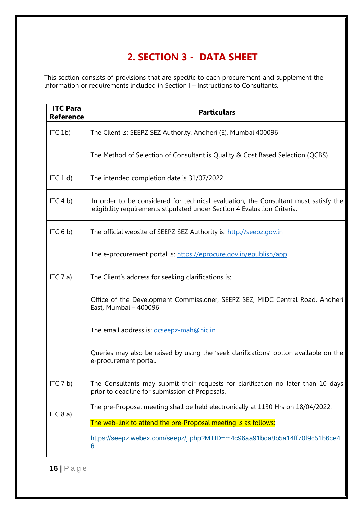## **2. SECTION 3 - DATA SHEET**

This section consists of provisions that are specific to each procurement and supplement the information or requirements included in Section I – Instructions to Consultants.

| <b>ITC Para</b><br><b>Reference</b>                             | <b>Particulars</b>                                                                                                                                              |  |  |  |
|-----------------------------------------------------------------|-----------------------------------------------------------------------------------------------------------------------------------------------------------------|--|--|--|
| $\textsf{ITC}$ 1b)                                              | The Client is: SEEPZ SEZ Authority, Andheri (E), Mumbai 400096                                                                                                  |  |  |  |
|                                                                 | The Method of Selection of Consultant is Quality & Cost Based Selection (QCBS)                                                                                  |  |  |  |
| ITC 1 d                                                         | The intended completion date is 31/07/2022                                                                                                                      |  |  |  |
| ITC 4 b)                                                        | In order to be considered for technical evaluation, the Consultant must satisfy the<br>eligibility requirements stipulated under Section 4 Evaluation Criteria. |  |  |  |
| ITC <sub>6</sub> b)                                             | The official website of SEEPZ SEZ Authority is: http://seepz.gov.in                                                                                             |  |  |  |
|                                                                 | The e-procurement portal is: https://eprocure.gov.in/epublish/app                                                                                               |  |  |  |
| ITC 7 a)<br>The Client's address for seeking clarifications is: |                                                                                                                                                                 |  |  |  |
|                                                                 | Office of the Development Commissioner, SEEPZ SEZ, MIDC Central Road, Andheri<br>East, Mumbai - 400096                                                          |  |  |  |
|                                                                 | The email address is: dcseepz-mah@nic.in                                                                                                                        |  |  |  |
|                                                                 | Queries may also be raised by using the 'seek clarifications' option available on the<br>e-procurement portal.                                                  |  |  |  |
| ITC 7 b)                                                        | The Consultants may submit their requests for clarification no later than 10 days<br>prior to deadline for submission of Proposals.                             |  |  |  |
| ITC 8 a)                                                        | The pre-Proposal meeting shall be held electronically at 1130 Hrs on 18/04/2022.                                                                                |  |  |  |
|                                                                 | The web-link to attend the pre-Proposal meeting is as follows:                                                                                                  |  |  |  |
|                                                                 | https://seepz.webex.com/seepz/j.php?MTID=m4c96aa91bda8b5a14ff70f9c51b6ce4<br>6                                                                                  |  |  |  |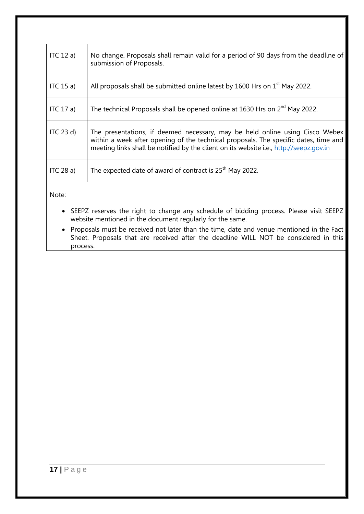| ITC $12a$             | No change. Proposals shall remain valid for a period of 90 days from the deadline of<br>submission of Proposals.                                                                                                                                               |
|-----------------------|----------------------------------------------------------------------------------------------------------------------------------------------------------------------------------------------------------------------------------------------------------------|
| ITC $15a$ )           | All proposals shall be submitted online latest by 1600 Hrs on 1 <sup>st</sup> May 2022.                                                                                                                                                                        |
| ITC 17 a)             | The technical Proposals shall be opened online at 1630 Hrs on 2 <sup>nd</sup> May 2022.                                                                                                                                                                        |
| $\overline{IC}$ 23 d) | The presentations, if deemed necessary, may be held online using Cisco Webex<br>within a week after opening of the technical proposals. The specific dates, time and<br>meeting links shall be notified by the client on its website i.e., http://seepz.gov.in |
| ITC $28a$ )           | The expected date of award of contract is $25th$ May 2022.                                                                                                                                                                                                     |
|                       |                                                                                                                                                                                                                                                                |

Note:

- SEEPZ reserves the right to change any schedule of bidding process. Please visit SEEPZ website mentioned in the document regularly for the same.
- Proposals must be received not later than the time, date and venue mentioned in the Fact Sheet. Proposals that are received after the deadline WILL NOT be considered in this process.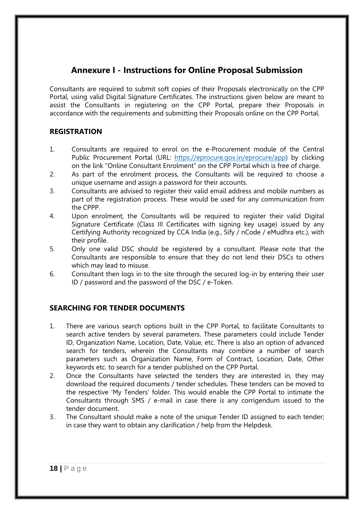## **Annexure I - Instructions for Online Proposal Submission**

Consultants are required to submit soft copies of their Proposals electronically on the CPP Portal, using valid Digital Signature Certificates. The instructions given below are meant to assist the Consultants in registering on the CPP Portal, prepare their Proposals in accordance with the requirements and submitting their Proposals online on the CPP Portal.

### **REGISTRATION**

- 1. Consultants are required to enrol on the e-Procurement module of the Central Public Procurement Portal (URL: [https://eprocure.gov.in/eprocure/app\)](https://eprocure.gov.in/eprocure/app) by clicking on the link "Online Consultant Enrolment" on the CPP Portal which is free of charge.
- 2. As part of the enrolment process, the Consultants will be required to choose a unique username and assign a password for their accounts.
- 3. Consultants are advised to register their valid email address and mobile numbers as part of the registration process. These would be used for any communication from the CPPP.
- 4. Upon enrolment, the Consultants will be required to register their valid Digital Signature Certificate (Class III Certificates with signing key usage) issued by any Certifying Authority recognized by CCA India (e.g., Sify / nCode / eMudhra etc.), with their profile.
- 5. Only one valid DSC should be registered by a consultant. Please note that the Consultants are responsible to ensure that they do not lend their DSCs to others which may lead to misuse.
- 6. Consultant then logs in to the site through the secured log-in by entering their user ID / password and the password of the DSC / e-Token.

### **SEARCHING FOR TENDER DOCUMENTS**

- 1. There are various search options built in the CPP Portal, to facilitate Consultants to search active tenders by several parameters. These parameters could include Tender ID, Organization Name, Location, Date, Value, etc. There is also an option of advanced search for tenders, wherein the Consultants may combine a number of search parameters such as Organization Name, Form of Contract, Location, Date, Other keywords etc. to search for a tender published on the CPP Portal.
- 2. Once the Consultants have selected the tenders they are interested in, they may download the required documents / tender schedules. These tenders can be moved to the respective 'My Tenders' folder. This would enable the CPP Portal to intimate the Consultants through SMS / e-mail in case there is any corrigendum issued to the tender document.
- 3. The Consultant should make a note of the unique Tender ID assigned to each tender; in case they want to obtain any clarification / help from the Helpdesk.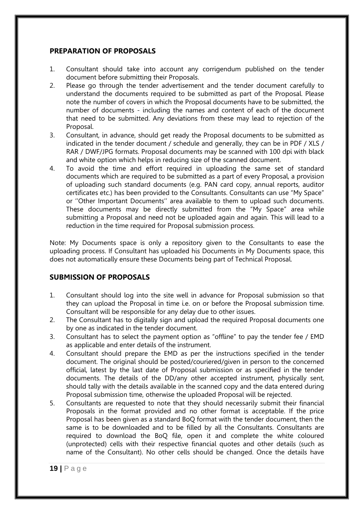#### **PREPARATION OF PROPOSALS**

- 1. Consultant should take into account any corrigendum published on the tender document before submitting their Proposals.
- 2. Please go through the tender advertisement and the tender document carefully to understand the documents required to be submitted as part of the Proposal. Please note the number of covers in which the Proposal documents have to be submitted, the number of documents - including the names and content of each of the document that need to be submitted. Any deviations from these may lead to rejection of the Proposal.
- 3. Consultant, in advance, should get ready the Proposal documents to be submitted as indicated in the tender document / schedule and generally, they can be in PDF / XLS / RAR / DWF/JPG formats. Proposal documents may be scanned with 100 dpi with black and white option which helps in reducing size of the scanned document.
- 4. To avoid the time and effort required in uploading the same set of standard documents which are required to be submitted as a part of every Proposal, a provision of uploading such standard documents (e.g. PAN card copy, annual reports, auditor certificates etc.) has been provided to the Consultants. Consultants can use "My Space" or ''Other Important Documents'' area available to them to upload such documents. These documents may be directly submitted from the "My Space" area while submitting a Proposal and need not be uploaded again and again. This will lead to a reduction in the time required for Proposal submission process.

Note: My Documents space is only a repository given to the Consultants to ease the uploading process. If Consultant has uploaded his Documents in My Documents space, this does not automatically ensure these Documents being part of Technical Proposal.

### **SUBMISSION OF PROPOSALS**

- 1. Consultant should log into the site well in advance for Proposal submission so that they can upload the Proposal in time i.e. on or before the Proposal submission time. Consultant will be responsible for any delay due to other issues.
- 2. The Consultant has to digitally sign and upload the required Proposal documents one by one as indicated in the tender document.
- 3. Consultant has to select the payment option as "offline" to pay the tender fee / EMD as applicable and enter details of the instrument.
- 4. Consultant should prepare the EMD as per the instructions specified in the tender document. The original should be posted/couriered/given in person to the concerned official, latest by the last date of Proposal submission or as specified in the tender documents. The details of the DD/any other accepted instrument, physically sent, should tally with the details available in the scanned copy and the data entered during Proposal submission time, otherwise the uploaded Proposal will be rejected.
- 5. Consultants are requested to note that they should necessarily submit their financial Proposals in the format provided and no other format is acceptable. If the price Proposal has been given as a standard BoQ format with the tender document, then the same is to be downloaded and to be filled by all the Consultants. Consultants are required to download the BoQ file, open it and complete the white coloured (unprotected) cells with their respective financial quotes and other details (such as name of the Consultant). No other cells should be changed. Once the details have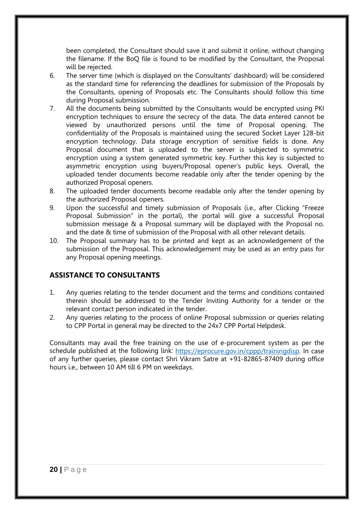been completed, the Consultant should save it and submit it online, without changing the filename. If the BoQ file is found to be modified by the Consultant, the Proposal will be rejected.

- 6. The server time (which is displayed on the Consultants' dashboard) will be considered as the standard time for referencing the deadlines for submission of the Proposals by the Consultants, opening of Proposals etc. The Consultants should follow this time during Proposal submission.
- 7. All the documents being submitted by the Consultants would be encrypted using PKI encryption techniques to ensure the secrecy of the data. The data entered cannot be viewed by unauthorized persons until the time of Proposal opening. The confidentiality of the Proposals is maintained using the secured Socket Layer 128-bit encryption technology. Data storage encryption of sensitive fields is done. Any Proposal document that is uploaded to the server is subjected to symmetric encryption using a system generated symmetric key. Further this key is subjected to asymmetric encryption using buyers/Proposal opener's public keys. Overall, the uploaded tender documents become readable only after the tender opening by the authorized Proposal openers.
- 8. The uploaded tender documents become readable only after the tender opening by the authorized Proposal openers.
- 9. Upon the successful and timely submission of Proposals (i.e., after Clicking "Freeze Proposal Submission" in the portal), the portal will give a successful Proposal submission message & a Proposal summary will be displayed with the Proposal no. and the date & time of submission of the Proposal with all other relevant details.
- 10. The Proposal summary has to be printed and kept as an acknowledgement of the submission of the Proposal. This acknowledgement may be used as an entry pass for any Proposal opening meetings.

### **ASSISTANCE TO CONSULTANTS**

- 1. Any queries relating to the tender document and the terms and conditions contained therein should be addressed to the Tender Inviting Authority for a tender or the relevant contact person indicated in the tender.
- 2. Any queries relating to the process of online Proposal submission or queries relating to CPP Portal in general may be directed to the 24x7 CPP Portal Helpdesk.

Consultants may avail the free training on the use of e-procurement system as per the schedule published at the following link: [https://eprocure.gov.in/cppp/trainingdisp.](https://eprocure.gov.in/cppp/trainingdisp) In case of any further queries, please contact Shri Vikram Satre at +91-82865-87409 during office hours i.e., between 10 AM till 6 PM on weekdays.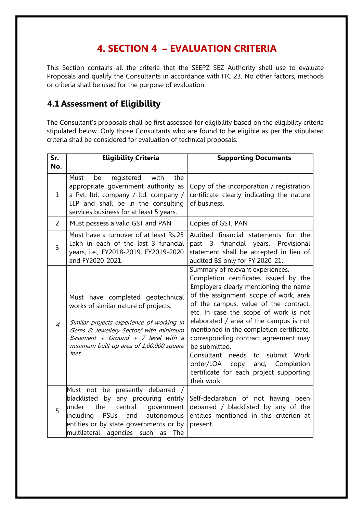## **4. SECTION 4 – EVALUATION CRITERIA**

This Section contains all the criteria that the SEEPZ SEZ Authority shall use to evaluate Proposals and qualify the Consultants in accordance with ITC 23. No other factors, methods or criteria shall be used for the purpose of evaluation.

## **4.1 Assessment of Eligibility**

The Consultant's proposals shall be first assessed for eligibility based on the eligibility criteria stipulated below. Only those Consultants who are found to be eligible as per the stipulated criteria shall be considered for evaluation of technical proposals.

| Sr.            | <b>Eligibility Criteria</b>                                                                                                                                                                                                                              | <b>Supporting Documents</b>                                                                                                                                                                                                                                                                                                                                                                                                                                                                                                              |  |
|----------------|----------------------------------------------------------------------------------------------------------------------------------------------------------------------------------------------------------------------------------------------------------|------------------------------------------------------------------------------------------------------------------------------------------------------------------------------------------------------------------------------------------------------------------------------------------------------------------------------------------------------------------------------------------------------------------------------------------------------------------------------------------------------------------------------------------|--|
| No.            |                                                                                                                                                                                                                                                          |                                                                                                                                                                                                                                                                                                                                                                                                                                                                                                                                          |  |
| $\mathbf{1}$   | Must<br>registered<br>with<br>the<br>be<br>appropriate government authority as<br>a Pvt. ltd. company / ltd. company /<br>LLP and shall be in the consulting<br>services business for at least 5 years.                                                  | Copy of the incorporation / registration<br>certificate clearly indicating the nature<br>of business.                                                                                                                                                                                                                                                                                                                                                                                                                                    |  |
| $\overline{2}$ | Must possess a valid GST and PAN                                                                                                                                                                                                                         | Copies of GST, PAN                                                                                                                                                                                                                                                                                                                                                                                                                                                                                                                       |  |
| $\overline{3}$ | Must have a turnover of at least Rs.25<br>Lakh in each of the last 3 financial<br>years, i.e., FY2018-2019, FY2019-2020<br>and FY2020-2021.                                                                                                              | Audited financial statements for the<br>past 3 financial years.<br>Provisional<br>statement shall be accepted in lieu of<br>audited BS only for FY 2020-21.                                                                                                                                                                                                                                                                                                                                                                              |  |
| $\overline{4}$ | Must have completed geotechnical<br>works of similar nature of projects.<br>Similar projects experience of working in<br>Gems & Jewellery Sector/ with minimum<br>Basement + Ground + 7 level with a<br>minimum built up area of 1,00,000 square<br>feet | Summary of relevant experiences.<br>Completion certificates issued by the<br>Employers clearly mentioning the name<br>of the assignment, scope of work, area<br>of the campus, value of the contract,<br>etc. In case the scope of work is not<br>elaborated / area of the campus is not<br>mentioned in the completion certificate,<br>corresponding contract agreement may<br>be submitted.<br>Consultant<br>needs<br>to submit Work<br>order/LOA<br>and, Completion<br>сору<br>certificate for each project supporting<br>their work. |  |
| 5              | Must not be presently debarred /<br>blacklisted by any procuring entity<br>under<br>the<br>central<br>qovernment<br>including<br>PSUs<br>autonomous<br>and<br>entities or by state governments or by<br>multilateral agencies such<br>The<br>as          | Self-declaration of not having been<br>debarred / blacklisted by any of the<br>entities mentioned in this criterion at<br>present.                                                                                                                                                                                                                                                                                                                                                                                                       |  |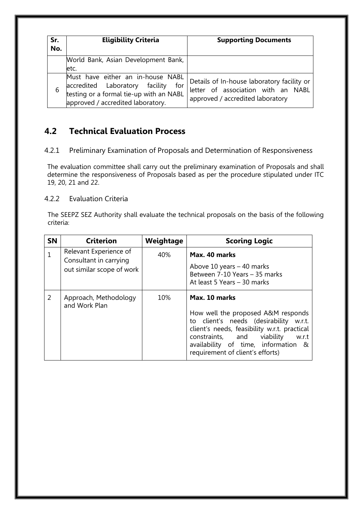| Sr.<br>No. | <b>Eligibility Criteria</b>                                                                                                                                    | <b>Supporting Documents</b>                                                                                          |  |  |
|------------|----------------------------------------------------------------------------------------------------------------------------------------------------------------|----------------------------------------------------------------------------------------------------------------------|--|--|
|            | World Bank, Asian Development Bank,<br>letc.                                                                                                                   |                                                                                                                      |  |  |
|            | Must have either an in-house NABL<br>accredited Laboratory facility for<br>testing or a formal tie-up with an NABL<br>for<br>approved / accredited laboratory. | Details of In-house laboratory facility or<br>letter of association with an NABL<br>approved / accredited laboratory |  |  |

## **4.2 Technical Evaluation Process**

4.2.1 Preliminary Examination of Proposals and Determination of Responsiveness

The evaluation committee shall carry out the preliminary examination of Proposals and shall determine the responsiveness of Proposals based as per the procedure stipulated under ITC 19, 20, 21 and 22.

### 4.2.2 Evaluation Criteria

The SEEPZ SEZ Authority shall evaluate the technical proposals on the basis of the following criteria:

| <b>SN</b>    | <b>Criterion</b>                                                              | Weightage | <b>Scoring Logic</b>                                                                                                                                                                                                                                            |  |
|--------------|-------------------------------------------------------------------------------|-----------|-----------------------------------------------------------------------------------------------------------------------------------------------------------------------------------------------------------------------------------------------------------------|--|
| $\mathbf{1}$ | Relevant Experience of<br>Consultant in carrying<br>out similar scope of work | 40%       | Max. 40 marks<br>Above 10 years $-$ 40 marks<br>Between 7-10 Years - 35 marks<br>At least 5 Years - 30 marks                                                                                                                                                    |  |
| 2            | Approach, Methodology<br>and Work Plan                                        | 10%       | Max. 10 marks<br>How well the proposed A&M responds<br>to client's needs (desirability w.r.t.<br>client's needs, feasibility w.r.t. practical<br>constraints, and viability<br>w.r.t<br>availability of time, information &<br>requirement of client's efforts) |  |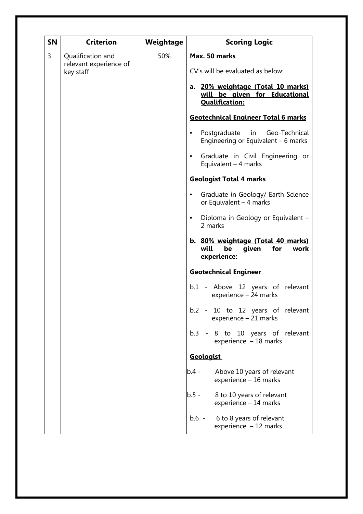| <b>SN</b> | <b>Criterion</b>                                         | Weightage | <b>Scoring Logic</b>                                                                                                                                                                                                                                                                                                                                                                                                                                                                                                                                                                                                     |  |
|-----------|----------------------------------------------------------|-----------|--------------------------------------------------------------------------------------------------------------------------------------------------------------------------------------------------------------------------------------------------------------------------------------------------------------------------------------------------------------------------------------------------------------------------------------------------------------------------------------------------------------------------------------------------------------------------------------------------------------------------|--|
| 3         | Qualification and<br>relevant experience of<br>key staff | 50%       | Max. 50 marks<br>CV's will be evaluated as below:<br>a. 20% weightage (Total 10 marks)<br>will be given for Educational<br><b>Qualification:</b><br><b>Geotechnical Engineer Total 6 marks</b><br>Postgraduate in Geo-Technical<br>$\bullet$<br>Engineering or Equivalent $-6$ marks<br>Graduate in Civil Engineering or<br>$\bullet$<br>Equivalent $-4$ marks<br><b>Geologist Total 4 marks</b><br>Graduate in Geology/ Earth Science<br>$\bullet$<br>or Equivalent $-4$ marks<br>Diploma in Geology or Equivalent -<br>$\bullet$<br>2 marks<br>b. 80% weightage (Total 40 marks)<br>will<br>be<br>given<br>for<br>work |  |
|           |                                                          |           | experience:<br><b>Geotechnical Engineer</b><br>b.1 - Above 12 years of relevant<br>experience - 24 marks<br>b.2 - 10 to 12 years of relevant<br>experience - 21 marks<br>b.3 - 8 to 10 years of relevant<br>experience $-18$ marks<br><b>Geologist</b><br>Above 10 years of relevant<br>b.4 -<br>experience - 16 marks<br>8 to 10 years of relevant<br>$b.5 -$<br>experience - 14 marks<br>b.6 - 6 to 8 years of relevant<br>experience $-12$ marks                                                                                                                                                                      |  |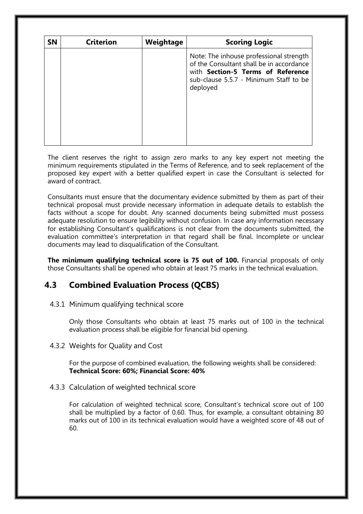| <b>SN</b> | <b>Criterion</b> | Weightage | <b>Scoring Logic</b>                                                                                                                                                                  |
|-----------|------------------|-----------|---------------------------------------------------------------------------------------------------------------------------------------------------------------------------------------|
|           |                  |           | Note: The inhouse professional strength<br>of the Consultant shall be in accordance<br>with <b>Section-5 Terms of Reference</b><br>sub-clause 5.5.7 - Minimum Staff to be<br>deployed |

The client reserves the right to assign zero marks to any key expert not meeting the minimum requirements stipulated in the Terms of Reference, and to seek replacement of the proposed key expert with a better qualified expert in case the Consultant is selected for award of contract.

Consultants must ensure that the documentary evidence submitted by them as part of their technical proposal must provide necessary information in adequate details to establish the facts without a scope for doubt. Any scanned documents being submitted must possess adequate resolution to ensure legibility without confusion. In case any information necessary for establishing Consultant's qualifications is not clear from the documents submitted, the evaluation committee's interpretation in that regard shall be final. Incomplete or unclear documents may lead to disqualification of the Consultant.

**The minimum qualifying technical score is 75 out of 100.** Financial proposals of only those Consultants shall be opened who obtain at least 75 marks in the technical evaluation.

### **4.3 Combined Evaluation Process (QCBS)**

4.3.1 Minimum qualifying technical score

Only those Consultants who obtain at least 75 marks out of 100 in the technical evaluation process shall be eligible for financial bid opening.

4.3.2 Weights for Quality and Cost

For the purpose of combined evaluation, the following weights shall be considered: **Technical Score: 60%; Financial Score: 40%**

4.3.3 Calculation of weighted technical score

For calculation of weighted technical score, Consultant's technical score out of 100 shall be multiplied by a factor of 0.60. Thus, for example, a consultant obtaining 80 marks out of 100 in its technical evaluation would have a weighted score of 48 out of 60.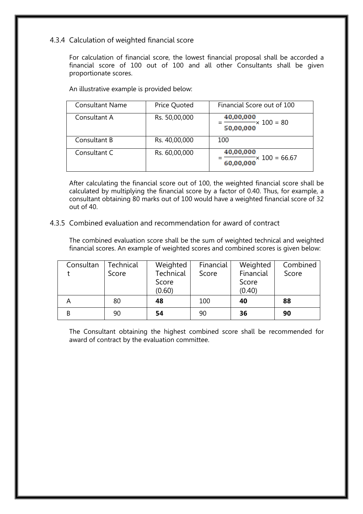### 4.3.4 Calculation of weighted financial score

For calculation of financial score, the lowest financial proposal shall be accorded a financial score of 100 out of 100 and all other Consultants shall be given proportionate scores.

An illustrative example is provided below:

| <b>Consultant Name</b> | <b>Price Quoted</b> | Financial Score out of 100                              |
|------------------------|---------------------|---------------------------------------------------------|
| Consultant A           | Rs. 50,00,000       | 40,00,000<br>$=\frac{1}{50,00,000} \times 100 = 80$     |
| Consultant B           | Rs. 40,00,000       | 100                                                     |
| Consultant C           | Rs. 60,00,000       | 40,00,000<br>$=$ $\frac{100}{100}$ = 66.67<br>60,00,000 |

After calculating the financial score out of 100, the weighted financial score shall be calculated by multiplying the financial score by a factor of 0.40. Thus, for example, a consultant obtaining 80 marks out of 100 would have a weighted financial score of 32 out of 40.

4.3.5 Combined evaluation and recommendation for award of contract

The combined evaluation score shall be the sum of weighted technical and weighted financial scores. An example of weighted scores and combined scores is given below:

| Consultan | Technical | Weighted  | Financial | Weighted  | Combined |
|-----------|-----------|-----------|-----------|-----------|----------|
|           | Score     | Technical | Score     | Financial | Score    |
|           |           | Score     |           | Score     |          |
|           |           | (0.60)    |           | (0.40)    |          |
|           | 80        | 48        | 100       | 40        | 88       |
|           | 90        | 54        | 90        | 36        | 90       |

The Consultant obtaining the highest combined score shall be recommended for award of contract by the evaluation committee.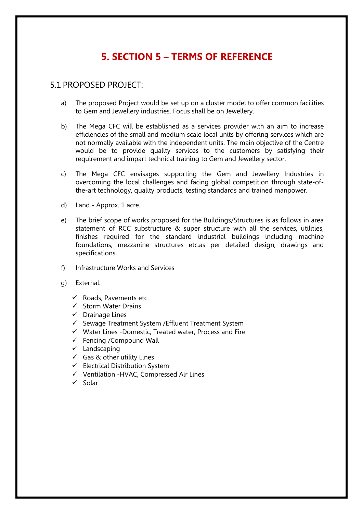## **5. SECTION 5 – TERMS OF REFERENCE**

### 5.1 PROPOSED PROJECT:

- a) The proposed Project would be set up on a cluster model to offer common facilities to Gem and Jewellery industries. Focus shall be on Jewellery.
- b) The Mega CFC will be established as a services provider with an aim to increase efficiencies of the small and medium scale local units by offering services which are not normally available with the independent units. The main objective of the Centre would be to provide quality services to the customers by satisfying their requirement and impart technical training to Gem and Jewellery sector.
- c) The Mega CFC envisages supporting the Gem and Jewellery Industries in overcoming the local challenges and facing global competition through state-ofthe-art technology, quality products, testing standards and trained manpower.
- d) Land Approx. 1 acre.
- e) The brief scope of works proposed for the Buildings/Structures is as follows in area statement of RCC substructure & super structure with all the services, utilities, finishes required for the standard industrial buildings including machine foundations, mezzanine structures etc.as per detailed design, drawings and specifications.
- f) Infrastructure Works and Services
- g) External:
	- $\checkmark$  Roads, Pavements etc.
	- $\checkmark$  Storm Water Drains
	- $\checkmark$  Drainage Lines
	- $\checkmark$  Sewage Treatment System / Effluent Treatment System
	- $\checkmark$  Water Lines -Domestic, Treated water, Process and Fire
	- $\checkmark$  Fencing / Compound Wall
	- $\checkmark$  Landscaping
	- $\checkmark$  Gas & other utility Lines
	- $\checkmark$  Electrical Distribution System
	- $\checkmark$  Ventilation -HVAC, Compressed Air Lines
	- $\checkmark$  Solar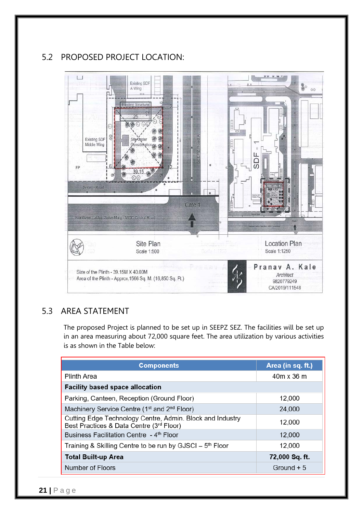## 5.2 PROPOSED PROJECT LOCATION:



### 5.3 AREA STATEMENT

The proposed Project is planned to be set up in SEEPZ SEZ. The facilities will be set up in an area measuring about 72,000 square feet. The area utilization by various activities is as shown in the Table below:

| <b>Components</b>                                                                                     | Area (in sq. ft.) |
|-------------------------------------------------------------------------------------------------------|-------------------|
| <b>Plinth Area</b>                                                                                    | 40m x 36 m        |
| <b>Facility based space allocation</b>                                                                |                   |
| Parking, Canteen, Reception (Ground Floor)                                                            | 12,000            |
| Machinery Service Centre (1 <sup>st</sup> and 2 <sup>nd</sup> Floor)                                  | 24,000            |
| Cutting Edge Technology Centre, Admin. Block and Industry<br>Best Practices & Data Centre (3rd Floor) | 12,000            |
| Business Facilitation Centre - 4 <sup>th</sup> Floor                                                  | 12,000            |
| Training & Skilling Centre to be run by GJSCI - 5 <sup>th</sup> Floor                                 | 12,000            |
| <b>Total Built-up Area</b>                                                                            | 72,000 Sq. ft.    |
| Number of Floors                                                                                      | Ground $+5$       |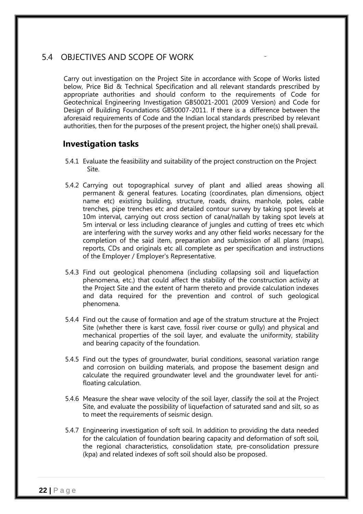### 5.4 OBJECTIVES AND SCOPE OF WORK

Carry out investigation on the Project Site in accordance with Scope of Works listed below, Price Bid & Technical Specification and all relevant standards prescribed by appropriate authorities and should conform to the requirements of Code for Geotechnical Engineering Investigation GB50021-2001 (2009 Version) and Code for Design of Building Foundations GB50007-2011. If there is a difference between the aforesaid requirements of Code and the Indian local standards prescribed by relevant authorities, then for the purposes of the present project, the higher one(s) shall prevail.

### **Investigation tasks**

- 5.4.1 Evaluate the feasibility and suitability of the project construction on the Project Site.
- 5.4.2 Carrying out topographical survey of plant and allied areas showing all permanent & general features. Locating (coordinates, plan dimensions, object name etc) existing building, structure, roads, drains, manhole, poles, cable trenches, pipe trenches etc and detailed contour survey by taking spot levels at 10m interval, carrying out cross section of canal/nallah by taking spot levels at 5m interval or less including clearance of jungles and cutting of trees etc which are interfering with the survey works and any other field works necessary for the completion of the said item, preparation and submission of all plans (maps), reports, CDs and originals etc all complete as per specification and instructions of the Employer / Employer's Representative.
- 5.4.3 Find out geological phenomena (including collapsing soil and liquefaction phenomena, etc.) that could affect the stability of the construction activity at the Project Site and the extent of harm thereto and provide calculation indexes and data required for the prevention and control of such geological phenomena.
- 5.4.4 Find out the cause of formation and age of the stratum structure at the Project Site (whether there is karst cave, fossil river course or gully) and physical and mechanical properties of the soil layer, and evaluate the uniformity, stability and bearing capacity of the foundation.
- 5.4.5 Find out the types of groundwater, burial conditions, seasonal variation range and corrosion on building materials, and propose the basement design and calculate the required groundwater level and the groundwater level for antifloating calculation.
- 5.4.6 Measure the shear wave velocity of the soil layer, classify the soil at the Project Site, and evaluate the possibility of liquefaction of saturated sand and silt, so as to meet the requirements of seismic design.
- 5.4.7 Engineering investigation of soft soil. In addition to providing the data needed for the calculation of foundation bearing capacity and deformation of soft soil, the regional characteristics, consolidation state, pre-consolidation pressure (kpa) and related indexes of soft soil should also be proposed.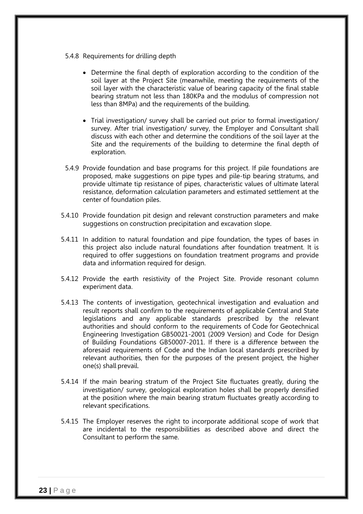- 5.4.8 Requirements for drilling depth
	- Determine the final depth of exploration according to the condition of the soil layer at the Project Site (meanwhile, meeting the requirements of the soil layer with the characteristic value of bearing capacity of the final stable bearing stratum not less than 180KPa and the modulus of compression not less than 8MPa) and the requirements of the building.
	- Trial investigation/ survey shall be carried out prior to formal investigation/ survey. After trial investigation/ survey, the Employer and Consultant shall discuss with each other and determine the conditions of the soil layer at the Site and the requirements of the building to determine the final depth of exploration.
- 5.4.9 Provide foundation and base programs for this project. If pile foundations are proposed, make suggestions on pipe types and pile-tip bearing stratums, and provide ultimate tip resistance of pipes, characteristic values of ultimate lateral resistance, deformation calculation parameters and estimated settlement at the center of foundation piles.
- 5.4.10 Provide foundation pit design and relevant construction parameters and make suggestions on construction precipitation and excavation slope.
- 5.4.11 In addition to natural foundation and pipe foundation, the types of bases in this project also include natural foundations after foundation treatment. It is required to offer suggestions on foundation treatment programs and provide data and information required for design.
- 5.4.12 Provide the earth resistivity of the Project Site. Provide resonant column experiment data.
- 5.4.13 The contents of investigation, geotechnical investigation and evaluation and result reports shall confirm to the requirements of applicable Central and State legislations and any applicable standards prescribed by the relevant authorities and should conform to the requirements of Code for Geotechnical Engineering Investigation GB50021-2001 (2009 Version) and Code for Design of Building Foundations GB50007-2011. If there is a difference between the aforesaid requirements of Code and the Indian local standards prescribed by relevant authorities, then for the purposes of the present project, the higher one(s) shall prevail.
- 5.4.14 If the main bearing stratum of the Project Site fluctuates greatly, during the investigation/ survey, geological exploration holes shall be properly densified at the position where the main bearing stratum fluctuates greatly according to relevant specifications.
- 5.4.15 The Employer reserves the right to incorporate additional scope of work that are incidental to the responsibilities as described above and direct the Consultant to perform the same.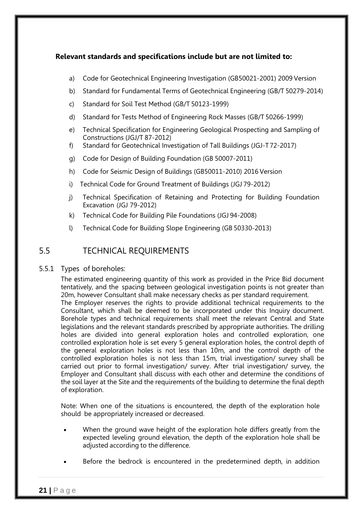### **Relevant standards and specifications include but are not limited to:**

- a) Code for Geotechnical Engineering Investigation (GB50021-2001) 2009 Version
- b) Standard for Fundamental Terms of Geotechnical Engineering (GB/T 50279-2014)
- c) Standard for Soil Test Method (GB/T 50123-1999)
- d) Standard for Tests Method of Engineering Rock Masses (GB/T 50266-1999)
- e) Technical Specification for Engineering Geological Prospecting and Sampling of Constructions (JGJ/T 87-2012)
- f) Standard for Geotechnical Investigation of Tall Buildings (JGJ-T 72-2017)
- g) Code for Design of Building Foundation (GB 50007-2011)
- h) Code for Seismic Design of Buildings (GB50011-2010) 2016 Version
- i) Technical Code for Ground Treatment of Buildings (JGJ 79-2012)
- j) Technical Specification of Retaining and Protecting for Building Foundation Excavation (JGJ 79-2012)
- k) Technical Code for Building Pile Foundations (JGJ 94-2008)
- l) Technical Code for Building Slope Engineering (GB 50330-2013)

### 5.5 TECHNICAL REQUIREMENTS

### 5.5.1 Types of boreholes:

The estimated engineering quantity of this work as provided in the Price Bid document tentatively, and the spacing between geological investigation points is not greater than 20m, however Consultant shall make necessary checks as per standard requirement. The Employer reserves the rights to provide additional technical requirements to the Consultant, which shall be deemed to be incorporated under this Inquiry document. Borehole types and technical requirements shall meet the relevant Central and State legislations and the relevant standards prescribed by appropriate authorities. The drilling holes are divided into general exploration holes and controlled exploration, one controlled exploration hole is set every 5 general exploration holes, the control depth of the general exploration holes is not less than 10m, and the control depth of the controlled exploration holes is not less than 15m, trial investigation/ survey shall be carried out prior to formal investigation/ survey. After trial investigation/ survey, the Employer and Consultant shall discuss with each other and determine the conditions of the soil layer at the Site and the requirements of the building to determine the final depth of exploration.

Note: When one of the situations is encountered, the depth of the exploration hole should be appropriately increased or decreased.

- When the ground wave height of the exploration hole differs greatly from the expected leveling ground elevation, the depth of the exploration hole shall be adjusted according to the difference.
- Before the bedrock is encountered in the predetermined depth, in addition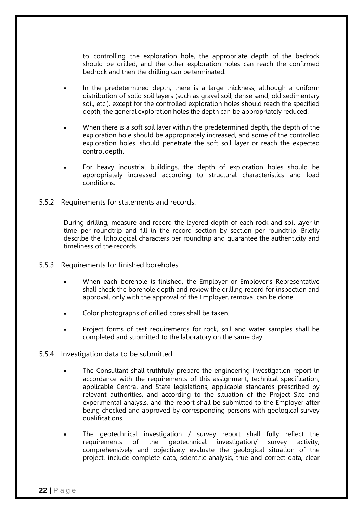to controlling the exploration hole, the appropriate depth of the bedrock should be drilled, and the other exploration holes can reach the confirmed bedrock and then the drilling can be terminated.

- In the predetermined depth, there is a large thickness, although a uniform distribution of solid soil layers (such as gravel soil, dense sand, old sedimentary soil, etc.), except for the controlled exploration holes should reach the specified depth, the general exploration holes the depth can be appropriately reduced.
- When there is a soft soil layer within the predetermined depth, the depth of the exploration hole should be appropriately increased, and some of the controlled exploration holes should penetrate the soft soil layer or reach the expected control depth.
- For heavy industrial buildings, the depth of exploration holes should be appropriately increased according to structural characteristics and load conditions.
- 5.5.2 Requirements for statements and records:

During drilling, measure and record the layered depth of each rock and soil layer in time per roundtrip and fill in the record section by section per roundtrip. Briefly describe the lithological characters per roundtrip and guarantee the authenticity and timeliness of the records.

- 5.5.3 Requirements for finished boreholes
	- When each borehole is finished, the Employer or Employer's Representative shall check the borehole depth and review the drilling record for inspection and approval, only with the approval of the Employer, removal can be done.
	- Color photographs of drilled cores shall be taken.
	- Project forms of test requirements for rock, soil and water samples shall be completed and submitted to the laboratory on the same day.
- 5.5.4 Investigation data to be submitted
	- The Consultant shall truthfully prepare the engineering investigation report in accordance with the requirements of this assignment, technical specification, applicable Central and State legislations, applicable standards prescribed by relevant authorities, and according to the situation of the Project Site and experimental analysis, and the report shall be submitted to the Employer after being checked and approved by corresponding persons with geological survey qualifications.
	- The geotechnical investigation / survey report shall fully reflect the requirements of the geotechnical investigation/ survey activity, comprehensively and objectively evaluate the geological situation of the project, include complete data, scientific analysis, true and correct data, clear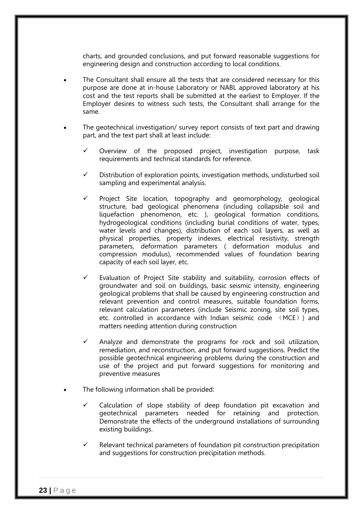charts, and grounded conclusions, and put forward reasonable suggestions for engineering design and construction according to local conditions.

- The Consultant shall ensure all the tests that are considered necessary for this purpose are done at in-house Laboratory or NABL approved laboratory at his cost and the test reports shall be submitted at the earliest to Employer. If the Employer desires to witness such tests, the Consultant shall arrange for the same.
- The geotechnical investigation/ survey report consists of text part and drawing part, and the text part shall at least include:
	- $\checkmark$  Overview of the proposed project, investigation purpose, task requirements and technical standards for reference.
	- $\checkmark$  Distribution of exploration points, investigation methods, undisturbed soil sampling and experimental analysis.
	- $\checkmark$  Project Site location, topography and geomorphology, geological structure, bad geological phenomena (including collapsible soil and liquefaction phenomenon, etc. ), geological formation conditions, hydrogeological conditions (including burial conditions of water, types, water levels and changes), distribution of each soil layers, as well as physical properties, property indexes, electrical resistivity, strength parameters, deformation parameters ( deformation modulus and compression modulus), recommended values of foundation bearing capacity of each soil layer, etc.
	- $\checkmark$  Evaluation of Project Site stability and suitability, corrosion effects of groundwater and soil on buildings, basic seismic intensity, engineering geological problems that shall be caused by engineering construction and relevant prevention and control measures, suitable foundation forms, relevant calculation parameters (include Seismic zoning, site soil types, etc. controlled in accordance with Indian seismic code (MCE)) and matters needing attention during construction
	- Analyze and demonstrate the programs for rock and soil utilization, remediation, and reconstruction, and put forward suggestions. Predict the possible geotechnical engineering problems during the construction and use of the project and put forward suggestions for monitoring and preventive measures
- The following information shall be provided:
	- $\checkmark$  Calculation of slope stability of deep foundation pit excavation and geotechnical parameters needed for retaining and protection. Demonstrate the effects of the underground installations of surrounding existing buildings.
	- Relevant technical parameters of foundation pit construction precipitation and suggestions for construction precipitation methods.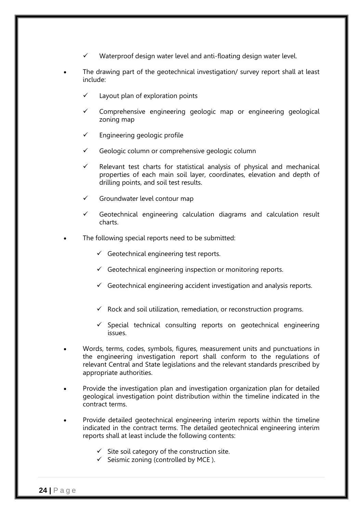- Waterproof design water level and anti-floating design water level.
- The drawing part of the geotechnical investigation/ survey report shall at least include:
	- Layout plan of exploration points
	- Comprehensive engineering geologic map or engineering geological zoning map
	- $\checkmark$  Engineering geologic profile
	- $\checkmark$  Geologic column or comprehensive geologic column
	- $\checkmark$  Relevant test charts for statistical analysis of physical and mechanical properties of each main soil layer, coordinates, elevation and depth of drilling points, and soil test results.
	- $\checkmark$  Groundwater level contour map
	- $\checkmark$  Geotechnical engineering calculation diagrams and calculation result charts.
- The following special reports need to be submitted:
	- $\checkmark$  Geotechnical engineering test reports.
	- $\checkmark$  Geotechnical engineering inspection or monitoring reports.
	- $\checkmark$  Geotechnical engineering accident investigation and analysis reports.
	- $\checkmark$  Rock and soil utilization, remediation, or reconstruction programs.
	- $\checkmark$  Special technical consulting reports on geotechnical engineering issues.
- Words, terms, codes, symbols, figures, measurement units and punctuations in the engineering investigation report shall conform to the regulations of relevant Central and State legislations and the relevant standards prescribed by appropriate authorities.
- Provide the investigation plan and investigation organization plan for detailed geological investigation point distribution within the timeline indicated in the contract terms.
- Provide detailed geotechnical engineering interim reports within the timeline indicated in the contract terms. The detailed geotechnical engineering interim reports shall at least include the following contents:
	- $\checkmark$  Site soil category of the construction site.
	- $\checkmark$  Seismic zoning (controlled by MCE).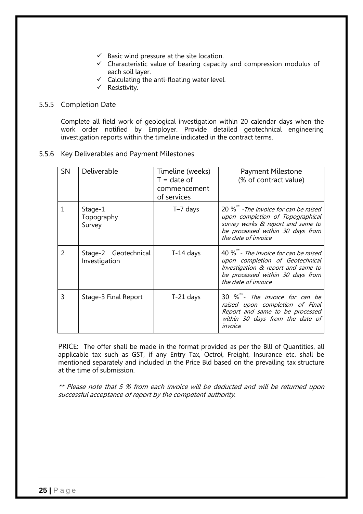- $\checkmark$  Basic wind pressure at the site location.
- $\checkmark$  Characteristic value of bearing capacity and compression modulus of each soil layer.
- $\checkmark$  Calculating the anti-floating water level.
- $\checkmark$  Resistivity.

#### 5.5.5 Completion Date

Complete all field work of geological investigation within 20 calendar days when the work order notified by Employer. Provide detailed geotechnical engineering investigation reports within the timeline indicated in the contract terms.

5.5.6 Key Deliverables and Payment Milestones

| <b>SN</b> | Deliverable                           | Timeline (weeks)<br>$T =$ date of<br>commencement<br>of services | <b>Payment Milestone</b><br>(% of contract value)                                                                                                                                      |
|-----------|---------------------------------------|------------------------------------------------------------------|----------------------------------------------------------------------------------------------------------------------------------------------------------------------------------------|
|           | Stage-1<br>Topography<br>Survey       | T-7 days                                                         | 20 % <sup>**</sup> -The invoice for can be raised<br>upon completion of Topographical<br>survey works & report and same to<br>be processed within 30 days from<br>the date of invoice  |
| 2         | Stage-2 Geotechnical<br>Investigation | $T-14$ days                                                      | 40 % <sup>**</sup> - The invoice for can be raised<br>upon completion of Geotechnical<br>Investigation & report and same to<br>be processed within 30 days from<br>the date of invoice |
| 3         | Stage-3 Final Report                  | $T-21$ days                                                      | 30 %**- The invoice for can be<br>raised upon completion of Final<br>Report and same to be processed<br>within 30 days from the date of<br>invoice                                     |

PRICE: The offer shall be made in the format provided as per the Bill of Quantities, all applicable tax such as GST, if any Entry Tax, Octroi, Freight, Insurance etc. shall be mentioned separately and included in the Price Bid based on the prevailing tax structure at the time of submission.

\*\* Please note that 5 % from each invoice will be deducted and will be returned upon successful acceptance of report by the competent authority.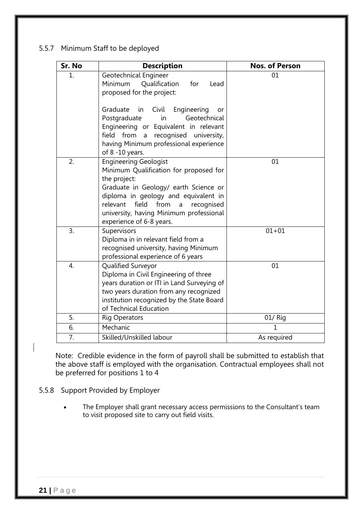### 5.5.7 Minimum Staff to be deployed

| Sr. No | <b>Description</b>                                                                                                                                                                                                                                                                             | <b>Nos. of Person</b> |
|--------|------------------------------------------------------------------------------------------------------------------------------------------------------------------------------------------------------------------------------------------------------------------------------------------------|-----------------------|
| 1.     | Geotechnical Engineer<br>Qualification<br>for<br>Minimum<br>Lead<br>proposed for the project:                                                                                                                                                                                                  | 01                    |
|        | Graduate<br>Civil<br>Engineering<br>in<br>or<br>Geotechnical<br>Postgraduate<br>in<br>Engineering or Equivalent in relevant<br>from<br>recognised<br>field<br>university,<br>$\mathsf{a}$<br>having Minimum professional experience<br>of 8 -10 years.                                         |                       |
| 2.     | <b>Engineering Geologist</b><br>Minimum Qualification for proposed for<br>the project:<br>Graduate in Geology/ earth Science or<br>diploma in geology and equivalent in<br>field<br>from<br>relevant<br>recognised<br>a<br>university, having Minimum professional<br>experience of 6-8 years. | 01                    |
| 3.     | Supervisors<br>Diploma in in relevant field from a<br>recognised university, having Minimum<br>professional experience of 6 years                                                                                                                                                              | $01 + 01$             |
| 4.     | Qualified Surveyor<br>Diploma in Civil Engineering of three<br>years duration or ITI in Land Surveying of<br>two years duration from any recognized<br>institution recognized by the State Board<br>of Technical Education                                                                     | 01                    |
| 5.     | <b>Rig Operators</b>                                                                                                                                                                                                                                                                           | 01/ Rig               |
| 6.     | Mechanic                                                                                                                                                                                                                                                                                       | 1                     |
| 7.     | Skilled/Unskilled labour                                                                                                                                                                                                                                                                       | As required           |

Note: Credible evidence in the form of payroll shall be submitted to establish that the above staff is employed with the organisation. Contractual employees shall not be preferred for positions 1 to 4

- 5.5.8 Support Provided by Employer
	- The Employer shall grant necessary access permissions to the Consultant's team to visit proposed site to carry out field visits.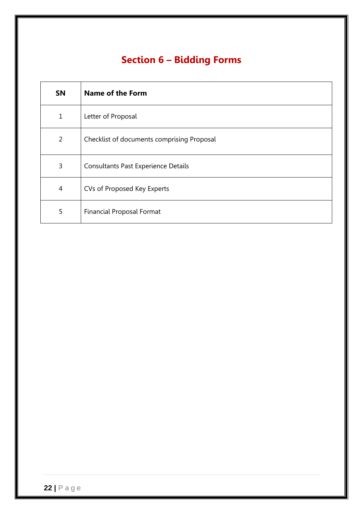# **Section 6 – Bidding Forms**

| <b>SN</b>      | <b>Name of the Form</b>                    |
|----------------|--------------------------------------------|
| 1              | Letter of Proposal                         |
| $\overline{2}$ | Checklist of documents comprising Proposal |
| 3              | <b>Consultants Past Experience Details</b> |
| $\overline{4}$ | CVs of Proposed Key Experts                |
| 5              | <b>Financial Proposal Format</b>           |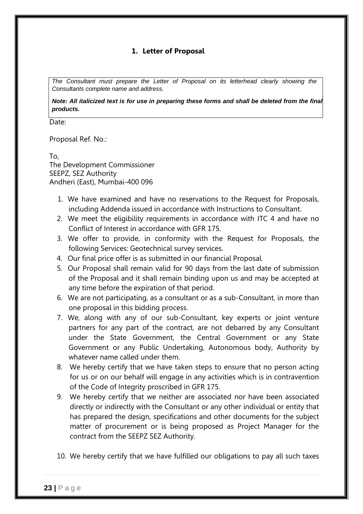### **1. Letter of Proposal**

*The Consultant must prepare the Letter of Proposal on its letterhead clearly showing the Consultants complete name and address.*

*Note: All italicized text is for use in preparing these forms and shall be deleted from the final products.*

Date:

Proposal Ref. No.:

To, The Development Commissioner SEEPZ, SEZ Authority Andheri (East), Mumbai-400 096

- 1. We have examined and have no reservations to the Request for Proposals, including Addenda issued in accordance with Instructions to Consultant.
- 2. We meet the eligibility requirements in accordance with ITC 4 and have no Conflict of Interest in accordance with GFR 175.
- 3. We offer to provide, in conformity with the Request for Proposals, the following Services: Geotechnical survey services.
- 4. Our final price offer is as submitted in our financial Proposal.
- 5. Our Proposal shall remain valid for 90 days from the last date of submission of the Proposal and it shall remain binding upon us and may be accepted at any time before the expiration of that period.
- 6. We are not participating, as a consultant or as a sub-Consultant, in more than one proposal in this bidding process.
- 7. We, along with any of our sub-Consultant, key experts or joint venture partners for any part of the contract, are not debarred by any Consultant under the State Government, the Central Government or any State Government or any Public Undertaking, Autonomous body, Authority by whatever name called under them.
- 8. We hereby certify that we have taken steps to ensure that no person acting for us or on our behalf will engage in any activities which is in contravention of the Code of Integrity proscribed in GFR 175.
- 9. We hereby certify that we neither are associated nor have been associated directly or indirectly with the Consultant or any other individual or entity that has prepared the design, specifications and other documents for the subject matter of procurement or is being proposed as Project Manager for the contract from the SEEPZ SEZ Authority.
- 10. We hereby certify that we have fulfilled our obligations to pay all such taxes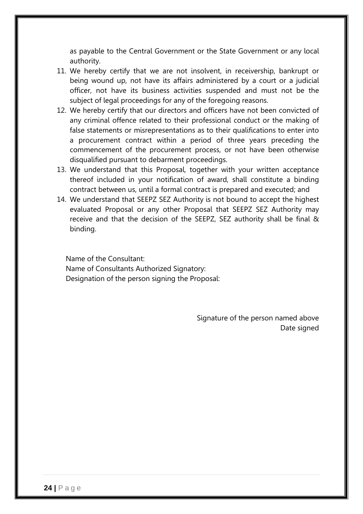as payable to the Central Government or the State Government or any local authority.

- 11. We hereby certify that we are not insolvent, in receivership, bankrupt or being wound up, not have its affairs administered by a court or a judicial officer, not have its business activities suspended and must not be the subject of legal proceedings for any of the foregoing reasons.
- 12. We hereby certify that our directors and officers have not been convicted of any criminal offence related to their professional conduct or the making of false statements or misrepresentations as to their qualifications to enter into a procurement contract within a period of three years preceding the commencement of the procurement process, or not have been otherwise disqualified pursuant to debarment proceedings.
- 13. We understand that this Proposal, together with your written acceptance thereof included in your notification of award, shall constitute a binding contract between us, until a formal contract is prepared and executed; and
- 14. We understand that SEEPZ SEZ Authority is not bound to accept the highest evaluated Proposal or any other Proposal that SEEPZ SEZ Authority may receive and that the decision of the SEEPZ, SEZ authority shall be final & binding.

Name of the Consultant: Name of Consultants Authorized Signatory: Designation of the person signing the Proposal:

> Signature of the person named above Date signed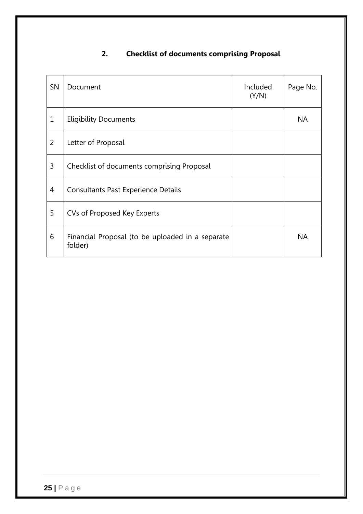## **2. Checklist of documents comprising Proposal**

| <b>SN</b>      | Document                                                    | Included<br>(Y/N) | Page No.  |
|----------------|-------------------------------------------------------------|-------------------|-----------|
| 1              | <b>Eligibility Documents</b>                                |                   | <b>NA</b> |
| $\overline{2}$ | Letter of Proposal                                          |                   |           |
| 3              | Checklist of documents comprising Proposal                  |                   |           |
| 4              | Consultants Past Experience Details                         |                   |           |
| 5              | CVs of Proposed Key Experts                                 |                   |           |
| 6              | Financial Proposal (to be uploaded in a separate<br>folder) |                   | <b>NA</b> |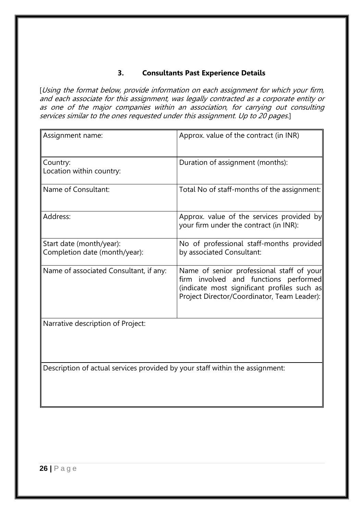### **3. Consultants Past Experience Details**

[Using the format below, provide information on each assignment for which your firm, and each associate for this assignment, was legally contracted as a corporate entity or as one of the major companies within an association, for carrying out consulting services similar to the ones requested under this assignment. Up to 20 pages.]

| Assignment name:                                                             | Approx. value of the contract (in INR)                                                                                                                                           |
|------------------------------------------------------------------------------|----------------------------------------------------------------------------------------------------------------------------------------------------------------------------------|
| Country:<br>Location within country:                                         | Duration of assignment (months):                                                                                                                                                 |
| Name of Consultant:                                                          | Total No of staff-months of the assignment:                                                                                                                                      |
| Address:                                                                     | Approx. value of the services provided by<br>your firm under the contract (in INR):                                                                                              |
| Start date (month/year):<br>Completion date (month/year):                    | No of professional staff-months provided<br>by associated Consultant:                                                                                                            |
| Name of associated Consultant, if any:                                       | Name of senior professional staff of your<br>firm involved and functions performed<br>(indicate most significant profiles such as<br>Project Director/Coordinator, Team Leader): |
| Narrative description of Project:                                            |                                                                                                                                                                                  |
| Description of actual services provided by your staff within the assignment: |                                                                                                                                                                                  |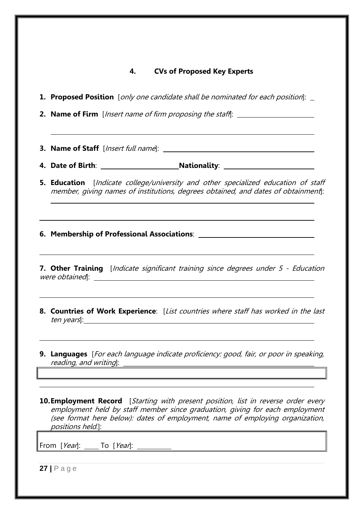### **4. CVs of Proposed Key Experts**

**1. Proposed Position** [only one candidate shall be nominated for each position]:

**2. Name of Firm** [*Insert name of firm proposing the staff*]:

**3.** Name of Staff [*Insert full name*]: \_\_\_\_\_

**4.** Date of Birth: <u>Nationality: Nationality:</u> Nationality: Nationality: Nationality: Nationality: Nationality: Nationality: Nationality: Nationality: Nationality: Nationality: Nationality: Nationality: Nationality: Natio

**5. Education** [Indicate college/university and other specialized education of staff member, giving names of institutions, degrees obtained, and dates of obtainment]:

**6. Membership of Professional Associations**:

**7. Other Training** [*Indicate significant training since degrees under 5 - Education* were obtained]:

- **8. Countries of Work Experience**: [List countries where staff has worked in the last ten years]:
- **9. Languages** [For each language indicate proficiency: good, fair, or poor in speaking, reading, and writing]:

**10. Employment Record** [Starting with present position, list in reverse order every employment held by staff member since graduation, giving for each employment (see format here below): dates of employment, name of employing organization, positions held.]:

From [*Year*]: \_\_\_\_\_ To [*Year*]: \_\_\_\_\_\_\_\_\_\_

**27 |** Page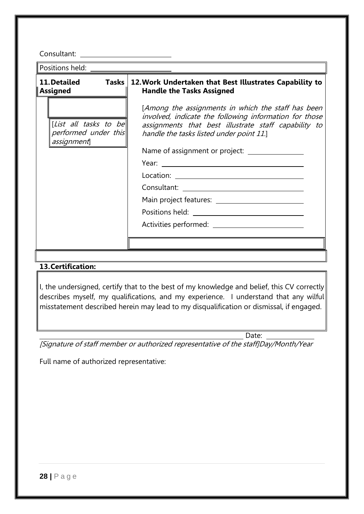Consultant:

Positions held:

| 11. Detailed |  |
|--------------|--|
| Assigned     |  |

[List all tasks to be performed under this assignment]

### **11.Detailed Tasks 12.Work Undertaken that Best Illustrates Capability to Handle the Tasks Assigned**

[Among the assignments in which the staff has been involved, indicate the following information for those assignments that best illustrate staff capability to handle the tasks listed under point 11.]

Name of assignment or project:

Year:

Location: when the contract of the contract of the contract of the contract of the contract of the contract of the contract of the contract of the contract of the contract of the contract of the contract of the contract of

Consultant:

Main project features:

Positions held: The state of the state of the state of the state of the state of the state of the state of the state of the state of the state of the state of the state of the state of the state of the state of the state o

Activities performed:

### **13.Certification:**

I, the undersigned, certify that to the best of my knowledge and belief, this CV correctly describes myself, my qualifications, and my experience. I understand that any wilful misstatement described herein may lead to my disqualification or dismissal, if engaged.

Date:

[Signature of staff member or authorized representative of the staff]Day/Month/Year

Full name of authorized representative: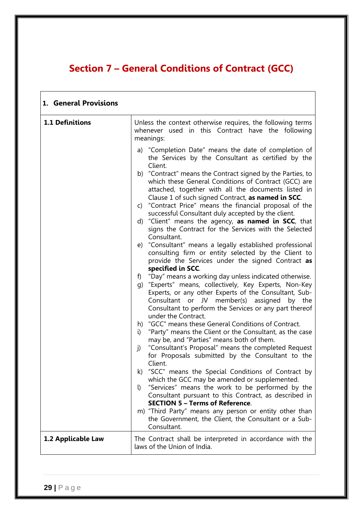## **Section 7 – General Conditions of Contract (GCC)**

| 1. General Provisions |                                                                                                                                                                                                                                                                                                                                                                                                                                                                                                                                                                                                                                                                                                                                                                                                                                                                                                                                                                                                                                                                                                                                                                                                                                                                                                                                                                                                            |
|-----------------------|------------------------------------------------------------------------------------------------------------------------------------------------------------------------------------------------------------------------------------------------------------------------------------------------------------------------------------------------------------------------------------------------------------------------------------------------------------------------------------------------------------------------------------------------------------------------------------------------------------------------------------------------------------------------------------------------------------------------------------------------------------------------------------------------------------------------------------------------------------------------------------------------------------------------------------------------------------------------------------------------------------------------------------------------------------------------------------------------------------------------------------------------------------------------------------------------------------------------------------------------------------------------------------------------------------------------------------------------------------------------------------------------------------|
| 1.1 Definitions       | Unless the context otherwise requires, the following terms<br>whenever used in this Contract have the following<br>meanings:                                                                                                                                                                                                                                                                                                                                                                                                                                                                                                                                                                                                                                                                                                                                                                                                                                                                                                                                                                                                                                                                                                                                                                                                                                                                               |
|                       | a) "Completion Date" means the date of completion of<br>the Services by the Consultant as certified by the<br>Client.<br>b) "Contract" means the Contract signed by the Parties, to<br>which these General Conditions of Contract (GCC) are<br>attached, together with all the documents listed in<br>Clause 1 of such signed Contract, as named in SCC.<br>c) "Contract Price" means the financial proposal of the<br>successful Consultant duly accepted by the client.<br>d) "Client" means the agency, as named in SCC, that<br>signs the Contract for the Services with the Selected<br>Consultant.<br>e) "Consultant" means a legally established professional<br>consulting firm or entity selected by the Client to<br>provide the Services under the signed Contract as<br>specified in SCC.<br>f) "Day" means a working day unless indicated otherwise.<br>g) "Experts" means, collectively, Key Experts, Non-Key<br>Experts, or any other Experts of the Consultant, Sub-<br>Consultant or JV member(s) assigned by the<br>Consultant to perform the Services or any part thereof<br>under the Contract.<br>h) "GCC" means these General Conditions of Contract.<br>"Party" means the Client or the Consultant, as the case<br>i)<br>may be, and "Parties" means both of them.<br>"Consultant's Proposal" means the completed Request<br>j)<br>for Proposals submitted by the Consultant to the |
|                       | Client.<br>k) "SCC" means the Special Conditions of Contract by<br>which the GCC may be amended or supplemented.<br>"Services" means the work to be performed by the<br>$\mathbf{I}$<br>Consultant pursuant to this Contract, as described in<br><b>SECTION 5 - Terms of Reference.</b><br>m) "Third Party" means any person or entity other than<br>the Government, the Client, the Consultant or a Sub-<br>Consultant.                                                                                                                                                                                                                                                                                                                                                                                                                                                                                                                                                                                                                                                                                                                                                                                                                                                                                                                                                                                   |
| 1.2 Applicable Law    | The Contract shall be interpreted in accordance with the<br>laws of the Union of India.                                                                                                                                                                                                                                                                                                                                                                                                                                                                                                                                                                                                                                                                                                                                                                                                                                                                                                                                                                                                                                                                                                                                                                                                                                                                                                                    |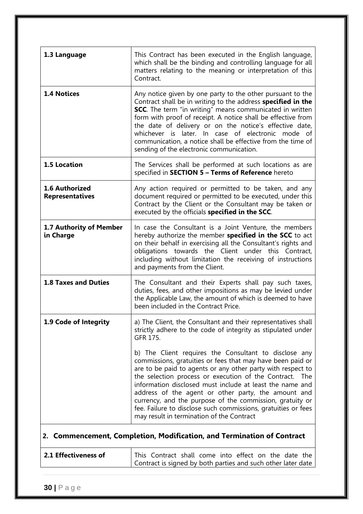| 1.3 Language                                                           | This Contract has been executed in the English language,<br>which shall be the binding and controlling language for all<br>matters relating to the meaning or interpretation of this<br>Contract.                                                                                                                                                                                                                                                                                                                                          |  |
|------------------------------------------------------------------------|--------------------------------------------------------------------------------------------------------------------------------------------------------------------------------------------------------------------------------------------------------------------------------------------------------------------------------------------------------------------------------------------------------------------------------------------------------------------------------------------------------------------------------------------|--|
| <b>1.4 Notices</b>                                                     | Any notice given by one party to the other pursuant to the<br>Contract shall be in writing to the address specified in the<br><b>SCC.</b> The term "in writing" means communicated in written<br>form with proof of receipt. A notice shall be effective from<br>the date of delivery or on the notice's effective date,<br>whichever is later. In case of electronic mode of<br>communication, a notice shall be effective from the time of<br>sending of the electronic communication.                                                   |  |
| <b>1.5 Location</b>                                                    | The Services shall be performed at such locations as are<br>specified in SECTION 5 - Terms of Reference hereto                                                                                                                                                                                                                                                                                                                                                                                                                             |  |
| <b>1.6 Authorized</b><br><b>Representatives</b>                        | Any action required or permitted to be taken, and any<br>document required or permitted to be executed, under this<br>Contract by the Client or the Consultant may be taken or<br>executed by the officials specified in the SCC.                                                                                                                                                                                                                                                                                                          |  |
| 1.7 Authority of Member<br>in Charge                                   | In case the Consultant is a Joint Venture, the members<br>hereby authorize the member specified in the SCC to act<br>on their behalf in exercising all the Consultant's rights and<br>obligations towards the Client under this Contract,<br>including without limitation the receiving of instructions<br>and payments from the Client.                                                                                                                                                                                                   |  |
| <b>1.8 Taxes and Duties</b>                                            | The Consultant and their Experts shall pay such taxes,<br>duties, fees, and other impositions as may be levied under<br>the Applicable Law, the amount of which is deemed to have<br>been included in the Contract Price.                                                                                                                                                                                                                                                                                                                  |  |
| 1.9 Code of Integrity                                                  | a) The Client, the Consultant and their representatives shall<br>strictly adhere to the code of integrity as stipulated under<br>GFR 175.                                                                                                                                                                                                                                                                                                                                                                                                  |  |
|                                                                        | b) The Client requires the Consultant to disclose any<br>commissions, gratuities or fees that may have been paid or<br>are to be paid to agents or any other party with respect to<br>the selection process or execution of the Contract. The<br>information disclosed must include at least the name and<br>address of the agent or other party, the amount and<br>currency, and the purpose of the commission, gratuity or<br>fee. Failure to disclose such commissions, gratuities or fees<br>may result in termination of the Contract |  |
| 2. Commencement, Completion, Modification, and Termination of Contract |                                                                                                                                                                                                                                                                                                                                                                                                                                                                                                                                            |  |
| 2.1 Effectiveness of                                                   | This Contract shall come into effect on the date the<br>Contract is signed by both parties and such other later date                                                                                                                                                                                                                                                                                                                                                                                                                       |  |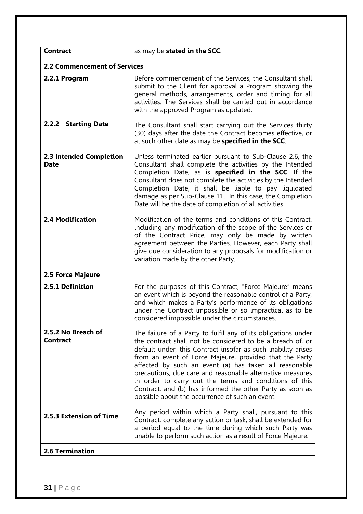| <b>Contract</b>                        | as may be stated in the SCC.                                                                                                                                                                                                                                                                                                                                                                                                                                                                                                                             |  |  |
|----------------------------------------|----------------------------------------------------------------------------------------------------------------------------------------------------------------------------------------------------------------------------------------------------------------------------------------------------------------------------------------------------------------------------------------------------------------------------------------------------------------------------------------------------------------------------------------------------------|--|--|
|                                        | <b>2.2 Commencement of Services</b>                                                                                                                                                                                                                                                                                                                                                                                                                                                                                                                      |  |  |
| 2.2.1 Program                          | Before commencement of the Services, the Consultant shall<br>submit to the Client for approval a Program showing the<br>general methods, arrangements, order and timing for all<br>activities. The Services shall be carried out in accordance<br>with the approved Program as updated.                                                                                                                                                                                                                                                                  |  |  |
| 2.2.2 Starting Date                    | The Consultant shall start carrying out the Services thirty<br>(30) days after the date the Contract becomes effective, or<br>at such other date as may be specified in the SCC.                                                                                                                                                                                                                                                                                                                                                                         |  |  |
| 2.3 Intended Completion<br><b>Date</b> | Unless terminated earlier pursuant to Sub-Clause 2.6, the<br>Consultant shall complete the activities by the Intended<br>Completion Date, as is specified in the SCC. If the<br>Consultant does not complete the activities by the Intended<br>Completion Date, it shall be liable to pay liquidated<br>damage as per Sub-Clause 11. In this case, the Completion<br>Date will be the date of completion of all activities.                                                                                                                              |  |  |
| <b>2.4 Modification</b>                | Modification of the terms and conditions of this Contract,<br>including any modification of the scope of the Services or<br>of the Contract Price, may only be made by written<br>agreement between the Parties. However, each Party shall<br>give due consideration to any proposals for modification or<br>variation made by the other Party.                                                                                                                                                                                                          |  |  |
| 2.5 Force Majeure                      |                                                                                                                                                                                                                                                                                                                                                                                                                                                                                                                                                          |  |  |
| 2.5.1 Definition                       | For the purposes of this Contract, "Force Majeure" means<br>an event which is beyond the reasonable control of a Party,<br>and which makes a Party's performance of its obligations<br>under the Contract impossible or so impractical as to be<br>considered impossible under the circumstances.                                                                                                                                                                                                                                                        |  |  |
| 2.5.2 No Breach of<br><b>Contract</b>  | The failure of a Party to fulfil any of its obligations under<br>the contract shall not be considered to be a breach of, or<br>default under, this Contract insofar as such inability arises<br>from an event of Force Majeure, provided that the Party<br>affected by such an event (a) has taken all reasonable<br>precautions, due care and reasonable alternative measures<br>in order to carry out the terms and conditions of this<br>Contract, and (b) has informed the other Party as soon as<br>possible about the occurrence of such an event. |  |  |
| 2.5.3 Extension of Time                | Any period within which a Party shall, pursuant to this<br>Contract, complete any action or task, shall be extended for<br>a period equal to the time during which such Party was<br>unable to perform such action as a result of Force Majeure.                                                                                                                                                                                                                                                                                                         |  |  |
| <b>2.6 Termination</b>                 |                                                                                                                                                                                                                                                                                                                                                                                                                                                                                                                                                          |  |  |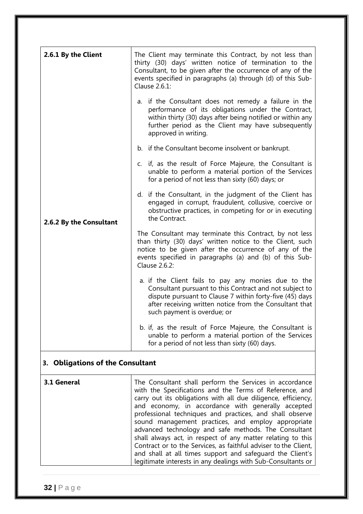| 2.6.1 By the Client              | The Client may terminate this Contract, by not less than<br>thirty (30) days' written notice of termination to the<br>Consultant, to be given after the occurrence of any of the<br>events specified in paragraphs (a) through (d) of this Sub-<br>Clause 2.6.1:                                                                                                                                                                                                                                                                                                                                                                                                                   |  |
|----------------------------------|------------------------------------------------------------------------------------------------------------------------------------------------------------------------------------------------------------------------------------------------------------------------------------------------------------------------------------------------------------------------------------------------------------------------------------------------------------------------------------------------------------------------------------------------------------------------------------------------------------------------------------------------------------------------------------|--|
|                                  | a. if the Consultant does not remedy a failure in the<br>performance of its obligations under the Contract,<br>within thirty (30) days after being notified or within any<br>further period as the Client may have subsequently<br>approved in writing.                                                                                                                                                                                                                                                                                                                                                                                                                            |  |
|                                  | b. if the Consultant become insolvent or bankrupt.                                                                                                                                                                                                                                                                                                                                                                                                                                                                                                                                                                                                                                 |  |
|                                  | c. if, as the result of Force Majeure, the Consultant is<br>unable to perform a material portion of the Services<br>for a period of not less than sixty (60) days; or                                                                                                                                                                                                                                                                                                                                                                                                                                                                                                              |  |
| 2.6.2 By the Consultant          | d. if the Consultant, in the judgment of the Client has<br>engaged in corrupt, fraudulent, collusive, coercive or<br>obstructive practices, in competing for or in executing<br>the Contract.                                                                                                                                                                                                                                                                                                                                                                                                                                                                                      |  |
|                                  | The Consultant may terminate this Contract, by not less<br>than thirty (30) days' written notice to the Client, such<br>notice to be given after the occurrence of any of the<br>events specified in paragraphs (a) and (b) of this Sub-<br>Clause 2.6.2:                                                                                                                                                                                                                                                                                                                                                                                                                          |  |
|                                  | a. if the Client fails to pay any monies due to the<br>Consultant pursuant to this Contract and not subject to<br>dispute pursuant to Clause 7 within forty-five (45) days<br>after receiving written notice from the Consultant that<br>such payment is overdue; or                                                                                                                                                                                                                                                                                                                                                                                                               |  |
|                                  | b. if, as the result of Force Majeure, the Consultant is<br>unable to perform a material portion of the Services<br>for a period of not less than sixty (60) days.                                                                                                                                                                                                                                                                                                                                                                                                                                                                                                                 |  |
| 3. Obligations of the Consultant |                                                                                                                                                                                                                                                                                                                                                                                                                                                                                                                                                                                                                                                                                    |  |
| 3.1 General                      | The Consultant shall perform the Services in accordance<br>with the Specifications and the Terms of Reference, and<br>carry out its obligations with all due diligence, efficiency,<br>and economy, in accordance with generally accepted<br>professional techniques and practices, and shall observe<br>sound management practices, and employ appropriate<br>advanced technology and safe methods. The Consultant<br>shall always act, in respect of any matter relating to this<br>Contract or to the Services, as faithful adviser to the Client,<br>and shall at all times support and safeguard the Client's<br>legitimate interests in any dealings with Sub-Consultants or |  |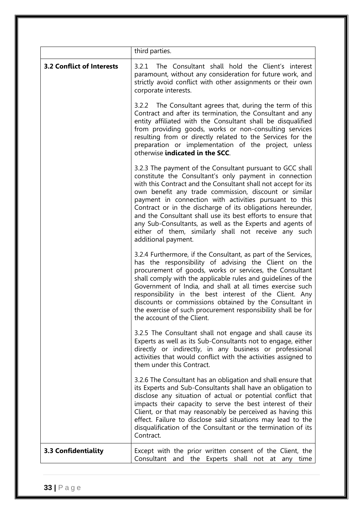|                                  | third parties.                                                                                                                                                                                                                                                                                                                                                                                                                                                                                                                                                                     |
|----------------------------------|------------------------------------------------------------------------------------------------------------------------------------------------------------------------------------------------------------------------------------------------------------------------------------------------------------------------------------------------------------------------------------------------------------------------------------------------------------------------------------------------------------------------------------------------------------------------------------|
| <b>3.2 Conflict of Interests</b> | The Consultant shall hold the Client's interest<br>3.2.1<br>paramount, without any consideration for future work, and<br>strictly avoid conflict with other assignments or their own<br>corporate interests.                                                                                                                                                                                                                                                                                                                                                                       |
|                                  | 3.2.2 The Consultant agrees that, during the term of this<br>Contract and after its termination, the Consultant and any<br>entity affiliated with the Consultant shall be disqualified<br>from providing goods, works or non-consulting services<br>resulting from or directly related to the Services for the<br>preparation or implementation of the project, unless<br>otherwise indicated in the SCC.                                                                                                                                                                          |
|                                  | 3.2.3 The payment of the Consultant pursuant to GCC shall<br>constitute the Consultant's only payment in connection<br>with this Contract and the Consultant shall not accept for its<br>own benefit any trade commission, discount or similar<br>payment in connection with activities pursuant to this<br>Contract or in the discharge of its obligations hereunder,<br>and the Consultant shall use its best efforts to ensure that<br>any Sub-Consultants, as well as the Experts and agents of<br>either of them, similarly shall not receive any such<br>additional payment. |
|                                  | 3.2.4 Furthermore, if the Consultant, as part of the Services,<br>has the responsibility of advising the Client on the<br>procurement of goods, works or services, the Consultant<br>shall comply with the applicable rules and guidelines of the<br>Government of India, and shall at all times exercise such<br>responsibility in the best interest of the Client. Any<br>discounts or commissions obtained by the Consultant in<br>the exercise of such procurement responsibility shall be for<br>the account of the Client.                                                   |
|                                  | 3.2.5 The Consultant shall not engage and shall cause its<br>Experts as well as its Sub-Consultants not to engage, either<br>directly or indirectly, in any business or professional<br>activities that would conflict with the activities assigned to<br>them under this Contract.                                                                                                                                                                                                                                                                                                |
|                                  | 3.2.6 The Consultant has an obligation and shall ensure that<br>its Experts and Sub-Consultants shall have an obligation to<br>disclose any situation of actual or potential conflict that<br>impacts their capacity to serve the best interest of their<br>Client, or that may reasonably be perceived as having this<br>effect. Failure to disclose said situations may lead to the<br>disqualification of the Consultant or the termination of its<br>Contract.                                                                                                                 |
| 3.3 Confidentiality              | Except with the prior written consent of the Client, the<br>Consultant and the Experts shall not at any time                                                                                                                                                                                                                                                                                                                                                                                                                                                                       |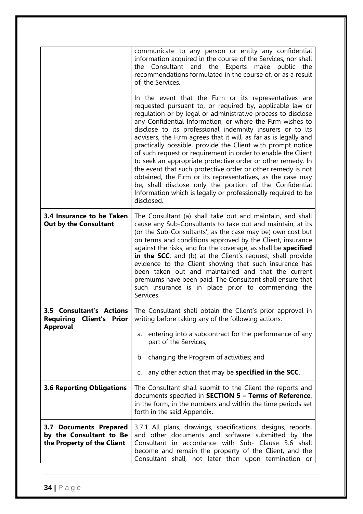|                                                                                      | communicate to any person or entity any confidential<br>information acquired in the course of the Services, nor shall<br>and the Experts make public the<br>Consultant<br>the<br>recommendations formulated in the course of, or as a result<br>of, the Services.<br>In the event that the Firm or its representatives are<br>requested pursuant to, or required by, applicable law or<br>regulation or by legal or administrative process to disclose<br>any Confidential Information, or where the Firm wishes to<br>disclose to its professional indemnity insurers or to its<br>advisers, the Firm agrees that it will, as far as is legally and<br>practically possible, provide the Client with prompt notice<br>of such request or requirement in order to enable the Client<br>to seek an appropriate protective order or other remedy. In<br>the event that such protective order or other remedy is not<br>obtained, the Firm or its representatives, as the case may<br>be, shall disclose only the portion of the Confidential<br>Information which is legally or professionally required to be<br>disclosed. |
|--------------------------------------------------------------------------------------|---------------------------------------------------------------------------------------------------------------------------------------------------------------------------------------------------------------------------------------------------------------------------------------------------------------------------------------------------------------------------------------------------------------------------------------------------------------------------------------------------------------------------------------------------------------------------------------------------------------------------------------------------------------------------------------------------------------------------------------------------------------------------------------------------------------------------------------------------------------------------------------------------------------------------------------------------------------------------------------------------------------------------------------------------------------------------------------------------------------------------|
| 3.4 Insurance to be Taken<br><b>Out by the Consultant</b>                            | The Consultant (a) shall take out and maintain, and shall<br>cause any Sub-Consultants to take out and maintain, at its<br>(or the Sub-Consultants', as the case may be) own cost but<br>on terms and conditions approved by the Client, insurance<br>against the risks, and for the coverage, as shall be specified<br>in the SCC; and (b) at the Client's request, shall provide<br>evidence to the Client showing that such insurance has<br>been taken out and maintained and that the current<br>premiums have been paid. The Consultant shall ensure that<br>such insurance is in place prior to commencing the<br>Services.                                                                                                                                                                                                                                                                                                                                                                                                                                                                                        |
| <b>3.5 Consultant's Actions</b><br>Requiring<br>Client's<br>Prior<br><b>Approval</b> | The Consultant shall obtain the Client's prior approval in<br>writing before taking any of the following actions:<br>entering into a subcontract for the performance of any<br>a.<br>part of the Services,<br>changing the Program of activities; and<br>b.<br>any other action that may be specified in the SCC.<br>C.                                                                                                                                                                                                                                                                                                                                                                                                                                                                                                                                                                                                                                                                                                                                                                                                   |
| <b>3.6 Reporting Obligations</b>                                                     | The Consultant shall submit to the Client the reports and<br>documents specified in SECTION 5 - Terms of Reference,<br>in the form, in the numbers and within the time periods set<br>forth in the said Appendix.                                                                                                                                                                                                                                                                                                                                                                                                                                                                                                                                                                                                                                                                                                                                                                                                                                                                                                         |
| 3.7 Documents Prepared<br>by the Consultant to Be<br>the Property of the Client      | 3.7.1 All plans, drawings, specifications, designs, reports,<br>and other documents and software submitted by the<br>Consultant in accordance with Sub- Clause 3.6 shall<br>become and remain the property of the Client, and the<br>Consultant shall, not later than upon termination or                                                                                                                                                                                                                                                                                                                                                                                                                                                                                                                                                                                                                                                                                                                                                                                                                                 |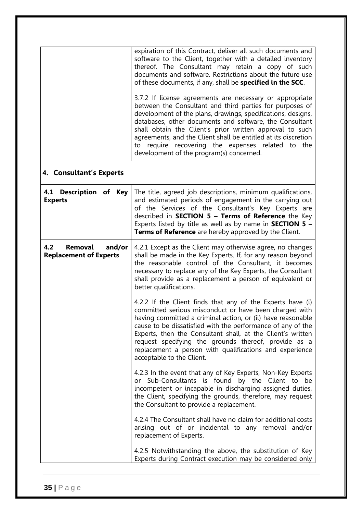|                                                           | expiration of this Contract, deliver all such documents and<br>software to the Client, together with a detailed inventory<br>thereof. The Consultant may retain a copy of such<br>documents and software. Restrictions about the future use<br>of these documents, if any, shall be <b>specified in the SCC</b> .<br>3.7.2 If license agreements are necessary or appropriate<br>between the Consultant and third parties for purposes of<br>development of the plans, drawings, specifications, designs,<br>databases, other documents and software, the Consultant<br>shall obtain the Client's prior written approval to such<br>agreements, and the Client shall be entitled at its discretion<br>to require recovering the expenses related to the<br>development of the program(s) concerned. |
|-----------------------------------------------------------|-----------------------------------------------------------------------------------------------------------------------------------------------------------------------------------------------------------------------------------------------------------------------------------------------------------------------------------------------------------------------------------------------------------------------------------------------------------------------------------------------------------------------------------------------------------------------------------------------------------------------------------------------------------------------------------------------------------------------------------------------------------------------------------------------------|
| 4. Consultant's Experts                                   |                                                                                                                                                                                                                                                                                                                                                                                                                                                                                                                                                                                                                                                                                                                                                                                                     |
| 4.1 Description of Key<br><b>Experts</b>                  | The title, agreed job descriptions, minimum qualifications,<br>and estimated periods of engagement in the carrying out<br>of the Services of the Consultant's Key Experts are<br>described in <b>SECTION 5 - Terms of Reference</b> the Key<br>Experts listed by title as well as by name in <b>SECTION 5 -</b><br>Terms of Reference are hereby approved by the Client.                                                                                                                                                                                                                                                                                                                                                                                                                            |
| 4.2<br>Removal<br>and/or<br><b>Replacement of Experts</b> | 4.2.1 Except as the Client may otherwise agree, no changes<br>shall be made in the Key Experts. If, for any reason beyond<br>the reasonable control of the Consultant, it becomes<br>necessary to replace any of the Key Experts, the Consultant<br>shall provide as a replacement a person of equivalent or<br>better qualifications.                                                                                                                                                                                                                                                                                                                                                                                                                                                              |
|                                                           | 4.2.2 If the Client finds that any of the Experts have (i)<br>committed serious misconduct or have been charged with<br>having committed a criminal action, or (ii) have reasonable<br>cause to be dissatisfied with the performance of any of the<br>Experts, then the Consultant shall, at the Client's written<br>request specifying the grounds thereof, provide as a<br>replacement a person with qualifications and experience<br>acceptable to the Client.                                                                                                                                                                                                                                                                                                                                   |
|                                                           | 4.2.3 In the event that any of Key Experts, Non-Key Experts<br>or Sub-Consultants is found by the Client to be<br>incompetent or incapable in discharging assigned duties,<br>the Client, specifying the grounds, therefore, may request<br>the Consultant to provide a replacement.                                                                                                                                                                                                                                                                                                                                                                                                                                                                                                                |
|                                                           | 4.2.4 The Consultant shall have no claim for additional costs<br>arising out of or incidental to any removal and/or<br>replacement of Experts.                                                                                                                                                                                                                                                                                                                                                                                                                                                                                                                                                                                                                                                      |
|                                                           | 4.2.5 Notwithstanding the above, the substitution of Key<br>Experts during Contract execution may be considered only                                                                                                                                                                                                                                                                                                                                                                                                                                                                                                                                                                                                                                                                                |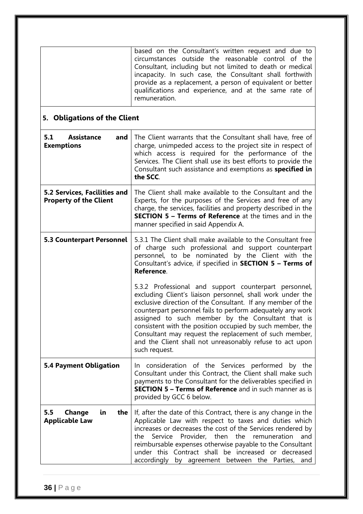| based on the Consultant's written request and due to<br>circumstances outside the reasonable control of the<br>Consultant, including but not limited to death or medical<br>incapacity. In such case, the Consultant shall forthwith<br>provide as a replacement, a person of equivalent or better |
|----------------------------------------------------------------------------------------------------------------------------------------------------------------------------------------------------------------------------------------------------------------------------------------------------|
| qualifications and experience, and at the same rate of<br>remuneration.                                                                                                                                                                                                                            |

## **5. Obligations of the Client**

| 5.1<br><b>Assistance</b><br>and<br><b>Exemptions</b>                 | The Client warrants that the Consultant shall have, free of<br>charge, unimpeded access to the project site in respect of<br>which access is required for the performance of the<br>Services. The Client shall use its best efforts to provide the<br>Consultant such assistance and exemptions as specified in<br>the SCC.                                                                                                                                                                               |
|----------------------------------------------------------------------|-----------------------------------------------------------------------------------------------------------------------------------------------------------------------------------------------------------------------------------------------------------------------------------------------------------------------------------------------------------------------------------------------------------------------------------------------------------------------------------------------------------|
| <b>5.2 Services, Facilities and</b><br><b>Property of the Client</b> | The Client shall make available to the Consultant and the<br>Experts, for the purposes of the Services and free of any<br>charge, the services, facilities and property described in the<br><b>SECTION 5 - Terms of Reference</b> at the times and in the<br>manner specified in said Appendix A.                                                                                                                                                                                                         |
| <b>5.3 Counterpart Personnel</b>                                     | 5.3.1 The Client shall make available to the Consultant free<br>of charge such professional and support counterpart<br>personnel, to be nominated by the Client with the<br>Consultant's advice, if specified in SECTION 5 - Terms of<br>Reference.                                                                                                                                                                                                                                                       |
|                                                                      | 5.3.2 Professional and support counterpart personnel,<br>excluding Client's liaison personnel, shall work under the<br>exclusive direction of the Consultant. If any member of the<br>counterpart personnel fails to perform adequately any work<br>assigned to such member by the Consultant that is<br>consistent with the position occupied by such member, the<br>Consultant may request the replacement of such member,<br>and the Client shall not unreasonably refuse to act upon<br>such request. |
| <b>5.4 Payment Obligation</b>                                        | In consideration of the Services performed by the<br>Consultant under this Contract, the Client shall make such<br>payments to the Consultant for the deliverables specified in<br><b>SECTION 5 - Terms of Reference</b> and in such manner as is<br>provided by GCC 6 below.                                                                                                                                                                                                                             |
| the<br>Change<br>5.5<br>ίn<br><b>Applicable Law</b>                  | If, after the date of this Contract, there is any change in the<br>Applicable Law with respect to taxes and duties which<br>increases or decreases the cost of the Services rendered by<br>Service Provider, then<br>the<br>remuneration<br>and<br>the<br>reimbursable expenses otherwise payable to the Consultant<br>under this Contract shall be increased or decreased<br>accordingly by agreement between the Parties, and                                                                           |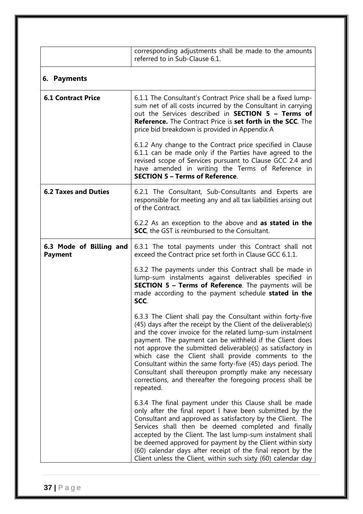|                                           | corresponding adjustments shall be made to the amounts<br>referred to in Sub-Clause 6.1.                                                                                                                                                                                                                                                                                                                                                                                                                                                                                         |
|-------------------------------------------|----------------------------------------------------------------------------------------------------------------------------------------------------------------------------------------------------------------------------------------------------------------------------------------------------------------------------------------------------------------------------------------------------------------------------------------------------------------------------------------------------------------------------------------------------------------------------------|
| 6. Payments                               |                                                                                                                                                                                                                                                                                                                                                                                                                                                                                                                                                                                  |
| <b>6.1 Contract Price</b>                 | 6.1.1 The Consultant's Contract Price shall be a fixed lump-<br>sum net of all costs incurred by the Consultant in carrying<br>out the Services described in <b>SECTION 5 - Terms of</b><br><b>Reference.</b> The Contract Price is set forth in the SCC. The<br>price bid breakdown is provided in Appendix A                                                                                                                                                                                                                                                                   |
|                                           | 6.1.2 Any change to the Contract price specified in Clause<br>6.1.1 can be made only if the Parties have agreed to the<br>revised scope of Services pursuant to Clause GCC 2.4 and<br>have amended in writing the Terms of Reference in<br><b>SECTION 5 - Terms of Reference.</b>                                                                                                                                                                                                                                                                                                |
| <b>6.2 Taxes and Duties</b>               | 6.2.1 The Consultant, Sub-Consultants and Experts are<br>responsible for meeting any and all tax liabilities arising out<br>of the Contract.                                                                                                                                                                                                                                                                                                                                                                                                                                     |
|                                           | 6.2.2 As an exception to the above and as stated in the<br><b>SCC</b> , the GST is reimbursed to the Consultant.                                                                                                                                                                                                                                                                                                                                                                                                                                                                 |
| 6.3 Mode of Billing and<br><b>Payment</b> | 6.3.1 The total payments under this Contract shall not<br>exceed the Contract price set forth in Clause GCC 6.1.1.                                                                                                                                                                                                                                                                                                                                                                                                                                                               |
|                                           | 6.3.2 The payments under this Contract shall be made in<br>lump-sum instalments against deliverables specified in<br><b>SECTION 5 - Terms of Reference</b> . The payments will be<br>made according to the payment schedule stated in the<br>SCC.                                                                                                                                                                                                                                                                                                                                |
|                                           | 6.3.3 The Client shall pay the Consultant within forty-five<br>(45) days after the receipt by the Client of the deliverable(s)<br>and the cover invoice for the related lump-sum instalment<br>payment. The payment can be withheld if the Client does<br>not approve the submitted deliverable(s) as satisfactory in<br>which case the Client shall provide comments to the<br>Consultant within the same forty-five (45) days period. The<br>Consultant shall thereupon promptly make any necessary<br>corrections, and thereafter the foregoing process shall be<br>repeated. |
|                                           | 6.3.4 The final payment under this Clause shall be made<br>only after the final report I have been submitted by the<br>Consultant and approved as satisfactory by the Client. The<br>Services shall then be deemed completed and finally<br>accepted by the Client. The last lump-sum instalment shall<br>be deemed approved for payment by the Client within sixty<br>(60) calendar days after receipt of the final report by the<br>Client unless the Client, within such sixty (60) calendar day                                                                              |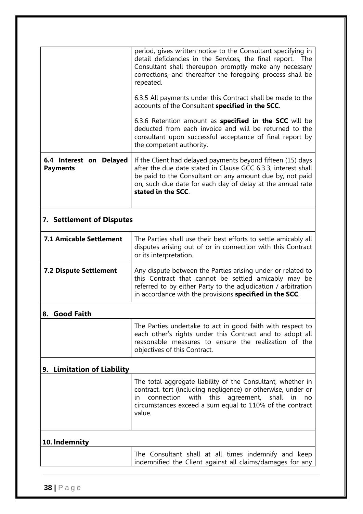|                                            | period, gives written notice to the Consultant specifying in<br>detail deficiencies in the Services, the final report. The<br>Consultant shall thereupon promptly make any necessary<br>corrections, and thereafter the foregoing process shall be<br>repeated.              |  |
|--------------------------------------------|------------------------------------------------------------------------------------------------------------------------------------------------------------------------------------------------------------------------------------------------------------------------------|--|
|                                            | 6.3.5 All payments under this Contract shall be made to the<br>accounts of the Consultant specified in the SCC.                                                                                                                                                              |  |
|                                            | 6.3.6 Retention amount as <b>specified in the SCC</b> will be<br>deducted from each invoice and will be returned to the<br>consultant upon successful acceptance of final report by<br>the competent authority.                                                              |  |
| 6.4 Interest on Delayed<br><b>Payments</b> | If the Client had delayed payments beyond fifteen (15) days<br>after the due date stated in Clause GCC 6.3.3, interest shall<br>be paid to the Consultant on any amount due by, not paid<br>on, such due date for each day of delay at the annual rate<br>stated in the SCC. |  |
|                                            | <b>7. Settlement of Disputes</b>                                                                                                                                                                                                                                             |  |
| <b>7.1 Amicable Settlement</b>             | The Parties shall use their best efforts to settle amicably all<br>disputes arising out of or in connection with this Contract<br>or its interpretation.                                                                                                                     |  |
| <b>7.2 Dispute Settlement</b>              | Any dispute between the Parties arising under or related to<br>this Contract that cannot be settled amicably may be<br>referred to by either Party to the adjudication / arbitration<br>in accordance with the provisions specified in the SCC.                              |  |
| <b>Good Faith</b><br>8.                    |                                                                                                                                                                                                                                                                              |  |
|                                            | The Parties undertake to act in good faith with respect to<br>each other's rights under this Contract and to adopt all<br>reasonable measures to ensure the realization of the<br>objectives of this Contract.                                                               |  |
| 9. Limitation of Liability                 |                                                                                                                                                                                                                                                                              |  |
|                                            | The total aggregate liability of the Consultant, whether in<br>contract, tort (including negligence) or otherwise, under or<br>this agreement,<br>connection with<br>shall<br>in<br>no<br><u>m</u><br>circumstances exceed a sum equal to 110% of the contract<br>value.     |  |
| 10. Indemnity                              |                                                                                                                                                                                                                                                                              |  |
|                                            | The Consultant shall at all times indemnify and keep<br>indemnified the Client against all claims/damages for any                                                                                                                                                            |  |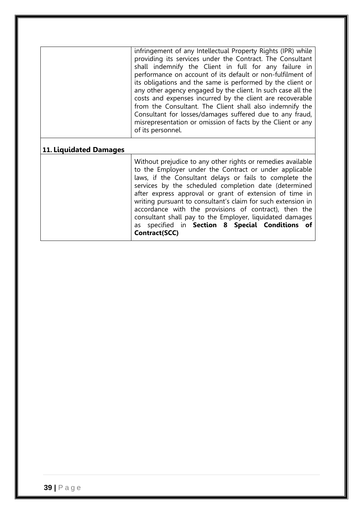|                        | infringement of any Intellectual Property Rights (IPR) while<br>providing its services under the Contract. The Consultant<br>shall indemnify the Client in full for any failure in<br>performance on account of its default or non-fulfilment of<br>its obligations and the same is performed by the client or<br>any other agency engaged by the client. In such case all the<br>costs and expenses incurred by the client are recoverable<br>from the Consultant. The Client shall also indemnify the<br>Consultant for losses/damages suffered due to any fraud,<br>misrepresentation or omission of facts by the Client or any<br>of its personnel. |
|------------------------|---------------------------------------------------------------------------------------------------------------------------------------------------------------------------------------------------------------------------------------------------------------------------------------------------------------------------------------------------------------------------------------------------------------------------------------------------------------------------------------------------------------------------------------------------------------------------------------------------------------------------------------------------------|
| 11. Liquidated Damages | Without prejudice to any other rights or remedies available<br>to the Employer under the Contract or under applicable<br>laws, if the Consultant delays or fails to complete the<br>services by the scheduled completion date (determined<br>after express approval or grant of extension of time in<br>writing pursuant to consultant's claim for such extension in<br>accordance with the provisions of contract), then the<br>consultant shall pay to the Employer, liquidated damages<br>as specified in Section 8 Special Conditions of<br>Contract(SCC)                                                                                           |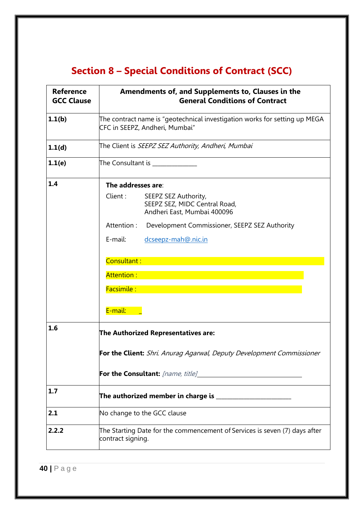# **Section 8 – Special Conditions of Contract (SCC)**

| <b>Reference</b><br><b>GCC Clause</b> | Amendments of, and Supplements to, Clauses in the<br><b>General Conditions of Contract</b>                                                                                                                                                                                 |
|---------------------------------------|----------------------------------------------------------------------------------------------------------------------------------------------------------------------------------------------------------------------------------------------------------------------------|
| 1.1(b)                                | The contract name is "geotechnical investigation works for setting up MEGA<br>CFC in SEEPZ, Andheri, Mumbai"                                                                                                                                                               |
| 1.1(d)                                | The Client is <i>SEEPZ SEZ Authority, Andheri, Mumbai</i>                                                                                                                                                                                                                  |
| 1.1(e)                                | The Consultant is ______________                                                                                                                                                                                                                                           |
| 1.4                                   | The addresses are:<br>Client :<br>SEEPZ SEZ Authority,<br>SEEPZ SEZ, MIDC Central Road,<br>Andheri East, Mumbai 400096<br>Attention: Development Commissioner, SEEPZ SEZ Authority<br>E-mail:<br>dcseepz-mah@.nic.in<br>Consultant:<br>Attention:<br>Facsimile:<br>E-mail: |
| 1.6                                   | The Authorized Representatives are:<br>For the Client: Shri. Anurag Agarwal, Deputy Development Commissioner<br>For the Consultant: [name, title]                                                                                                                          |
| 1.7                                   | The authorized member in charge is _________                                                                                                                                                                                                                               |
| 2.1                                   | No change to the GCC clause                                                                                                                                                                                                                                                |
| 2.2.2                                 | The Starting Date for the commencement of Services is seven (7) days after<br>contract signing.                                                                                                                                                                            |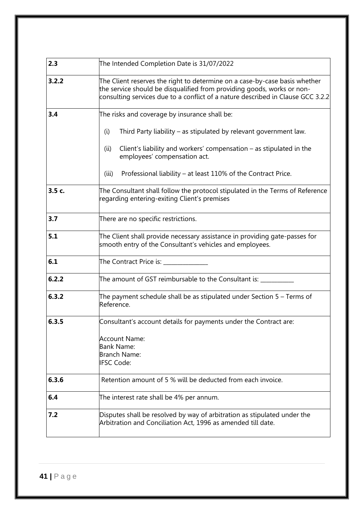| 2.3    | The Intended Completion Date is 31/07/2022                                                                                                                                                                                              |
|--------|-----------------------------------------------------------------------------------------------------------------------------------------------------------------------------------------------------------------------------------------|
| 3.2.2  | The Client reserves the right to determine on a case-by-case basis whether<br>the service should be disqualified from providing goods, works or non-<br>consulting services due to a conflict of a nature described in Clause GCC 3.2.2 |
| 3.4    | The risks and coverage by insurance shall be:                                                                                                                                                                                           |
|        | Third Party liability – as stipulated by relevant government law.<br>(i)                                                                                                                                                                |
|        | Client's liability and workers' compensation $-$ as stipulated in the<br>(ii)<br>employees' compensation act.                                                                                                                           |
|        | Professional liability – at least 110% of the Contract Price.<br>(iii)                                                                                                                                                                  |
| 3.5 c. | The Consultant shall follow the protocol stipulated in the Terms of Reference<br>regarding entering-exiting Client's premises                                                                                                           |
| 3.7    | There are no specific restrictions.                                                                                                                                                                                                     |
| 5.1    | The Client shall provide necessary assistance in providing gate-passes for<br>smooth entry of the Consultant's vehicles and employees.                                                                                                  |
| 6.1    | The Contract Price is: _________                                                                                                                                                                                                        |
| 6.2.2  | The amount of GST reimbursable to the Consultant is: ___                                                                                                                                                                                |
| 6.3.2  | The payment schedule shall be as stipulated under Section 5 – Terms of<br>Reference.                                                                                                                                                    |
| 6.3.5  | Consultant's account details for payments under the Contract are:                                                                                                                                                                       |
|        | <b>Account Name:</b><br>Bank Name:<br>Branch Name:<br><b>IFSC Code:</b>                                                                                                                                                                 |
| 6.3.6  | Retention amount of 5 % will be deducted from each invoice.                                                                                                                                                                             |
| 6.4    | The interest rate shall be 4% per annum.                                                                                                                                                                                                |
| 7.2    | Disputes shall be resolved by way of arbitration as stipulated under the<br>Arbitration and Conciliation Act, 1996 as amended till date.                                                                                                |
|        |                                                                                                                                                                                                                                         |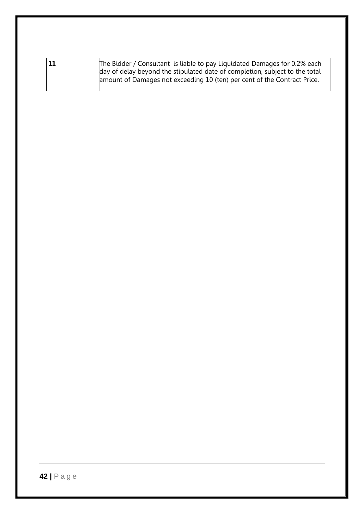| The Bidder / Consultant is liable to pay Liquidated Damages for 0.2% each<br>day of delay beyond the stipulated date of completion, subject to the total<br>amount of Damages not exceeding 10 (ten) per cent of the Contract Price. |
|--------------------------------------------------------------------------------------------------------------------------------------------------------------------------------------------------------------------------------------|
|                                                                                                                                                                                                                                      |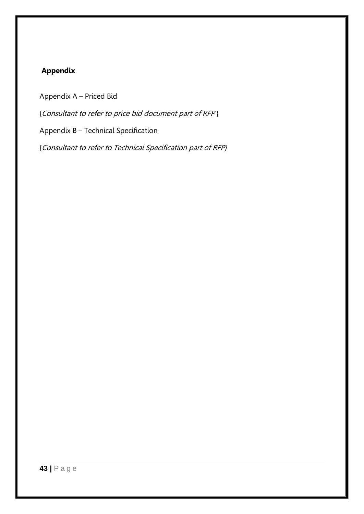## **Appendix**

Appendix A – Priced Bid

{Consultant to refer to price bid document part of RFP }

Appendix B – Technical Specification

{Consultant to refer to Technical Specification part of RFP}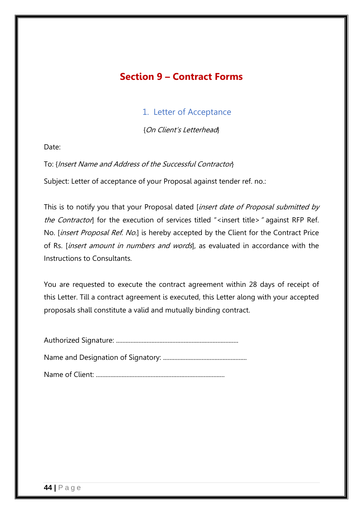## **Section 9 – Contract Forms**

## 1. Letter of Acceptance

{On Client's Letterhead}

Date:

To: {Insert Name and Address of the Successful Contractor}

Subject: Letter of acceptance of your Proposal against tender ref. no.:

This is to notify you that your Proposal dated [insert date of Proposal submitted by the Contractor] for the execution of services titled "<insert title>" against RFP Ref. No. [insert Proposal Ref. No.] is hereby accepted by the Client for the Contract Price of Rs. *[insert amount in numbers and words*], as evaluated in accordance with the Instructions to Consultants.

You are requested to execute the contract agreement within 28 days of receipt of this Letter. Till a contract agreement is executed, this Letter along with your accepted proposals shall constitute a valid and mutually binding contract.

Authorized Signature: ............................................................................

Name and Designation of Signatory: ....................................................

Name of Client: ................................................................................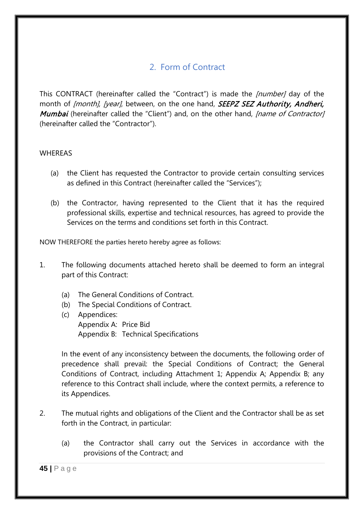## 2. Form of Contract

This CONTRACT (hereinafter called the "Contract") is made the [number] day of the month of *[month], [year]*, between, on the one hand, **SEEPZ SEZ Authority, Andheri,** Mumbai (hereinafter called the "Client") and, on the other hand, *[name of Contractor]* (hereinafter called the "Contractor").

### WHEREAS

- (a) the Client has requested the Contractor to provide certain consulting services as defined in this Contract (hereinafter called the "Services");
- (b) the Contractor, having represented to the Client that it has the required professional skills, expertise and technical resources, has agreed to provide the Services on the terms and conditions set forth in this Contract.

NOW THEREFORE the parties hereto hereby agree as follows:

- 1. The following documents attached hereto shall be deemed to form an integral part of this Contract:
	- (a) The General Conditions of Contract.
	- (b) The Special Conditions of Contract.
	- (c) Appendices: Appendix A: Price Bid Appendix B: Technical Specifications

In the event of any inconsistency between the documents, the following order of precedence shall prevail: the Special Conditions of Contract; the General Conditions of Contract, including Attachment 1; Appendix A; Appendix B; any reference to this Contract shall include, where the context permits, a reference to its Appendices.

- 2. The mutual rights and obligations of the Client and the Contractor shall be as set forth in the Contract, in particular:
	- (a) the Contractor shall carry out the Services in accordance with the provisions of the Contract; and

**45 |** Page